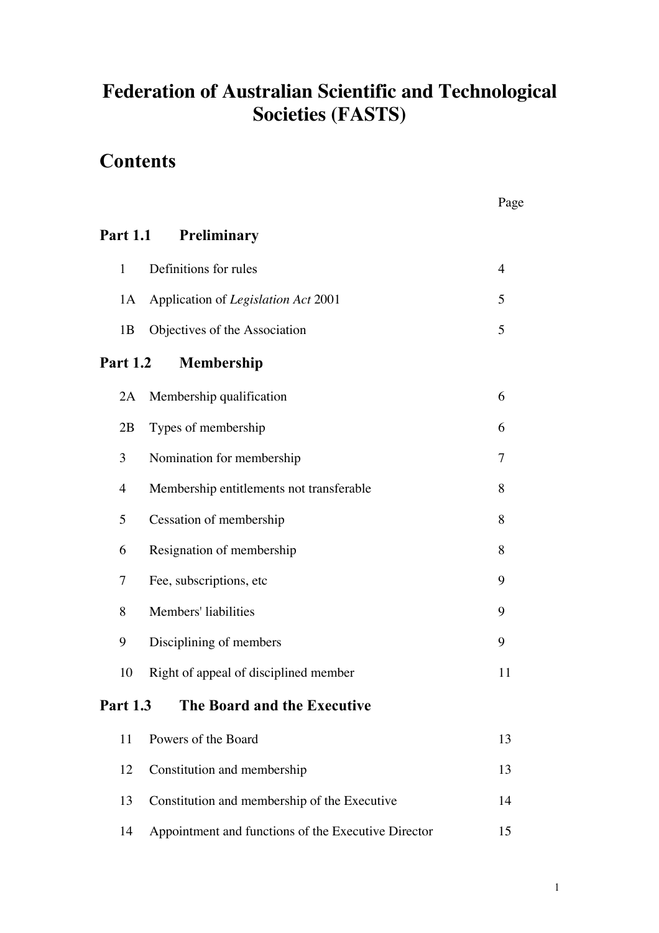# **Federation of Australian Scientific and Technological Societies (FASTS)**

# **Contents**

|                                                |                                          | Page           |
|------------------------------------------------|------------------------------------------|----------------|
| <b>Part 1.1</b>                                | Preliminary                              |                |
| $\mathbf{1}$                                   | Definitions for rules                    | $\overline{4}$ |
| 1A                                             | Application of Legislation Act 2001      | 5              |
| 1B                                             | Objectives of the Association            | 5              |
| <b>Part 1.2</b>                                | <b>Membership</b>                        |                |
| 2A                                             | Membership qualification                 | 6              |
| 2B                                             | Types of membership                      | 6              |
| 3                                              | Nomination for membership                | $\overline{7}$ |
| $\overline{4}$                                 | Membership entitlements not transferable | 8              |
| 5                                              | Cessation of membership                  | 8              |
| 6                                              | Resignation of membership                | 8              |
| 7                                              | Fee, subscriptions, etc                  | 9              |
| 8                                              | Members' liabilities                     | 9              |
| 9                                              | Disciplining of members                  | 9              |
| 10                                             | Right of appeal of disciplined member    | 11             |
| <b>Part 1.3</b><br>The Board and the Executive |                                          |                |
|                                                | $11 \quad D_1, \ldots, D_n$              | $1^{\circ}$    |

| 11 Powers of the Board                                 |    |
|--------------------------------------------------------|----|
| 12 Constitution and membership                         | 13 |
| 13 Constitution and membership of the Executive        | 14 |
| 14 Appointment and functions of the Executive Director | 15 |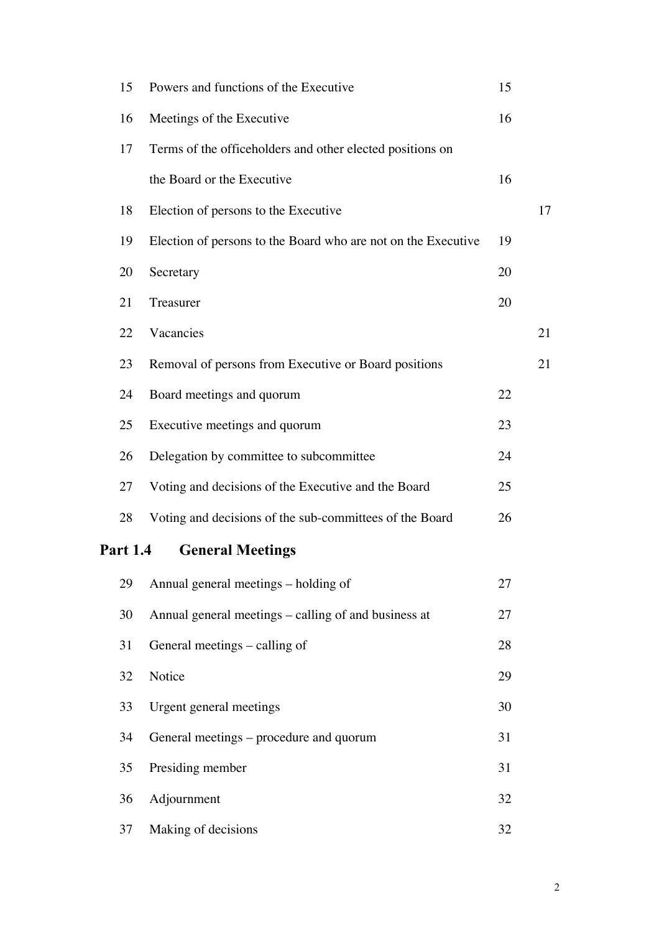| 15                                         | Powers and functions of the Executive                         | 15 |    |  |
|--------------------------------------------|---------------------------------------------------------------|----|----|--|
| 16                                         | Meetings of the Executive                                     | 16 |    |  |
| 17                                         | Terms of the officeholders and other elected positions on     |    |    |  |
|                                            | the Board or the Executive                                    | 16 |    |  |
| 18                                         | Election of persons to the Executive                          |    | 17 |  |
| 19                                         | Election of persons to the Board who are not on the Executive | 19 |    |  |
| 20                                         | Secretary                                                     | 20 |    |  |
| 21                                         | Treasurer                                                     | 20 |    |  |
| 22                                         | Vacancies                                                     |    | 21 |  |
| 23                                         | Removal of persons from Executive or Board positions          |    | 21 |  |
| 24                                         | Board meetings and quorum                                     | 22 |    |  |
| 25                                         | Executive meetings and quorum                                 | 23 |    |  |
| 26                                         | Delegation by committee to subcommittee                       | 24 |    |  |
| 27                                         | Voting and decisions of the Executive and the Board           | 25 |    |  |
| 28                                         | Voting and decisions of the sub-committees of the Board       | 26 |    |  |
| <b>Part 1.4</b><br><b>General Meetings</b> |                                                               |    |    |  |
| 29                                         | Annual general meetings – holding of                          | 27 |    |  |
| 30                                         | Annual general meetings – calling of and business at          | 27 |    |  |
| 31                                         | General meetings – calling of                                 | 28 |    |  |
| 32                                         | Notice                                                        | 29 |    |  |
| 33                                         | Urgent general meetings                                       | 30 |    |  |
| 34                                         | General meetings – procedure and quorum                       | 31 |    |  |
| 35                                         | Presiding member                                              | 31 |    |  |
| 36                                         | Adjournment                                                   | 32 |    |  |
| 37                                         | Making of decisions                                           | 32 |    |  |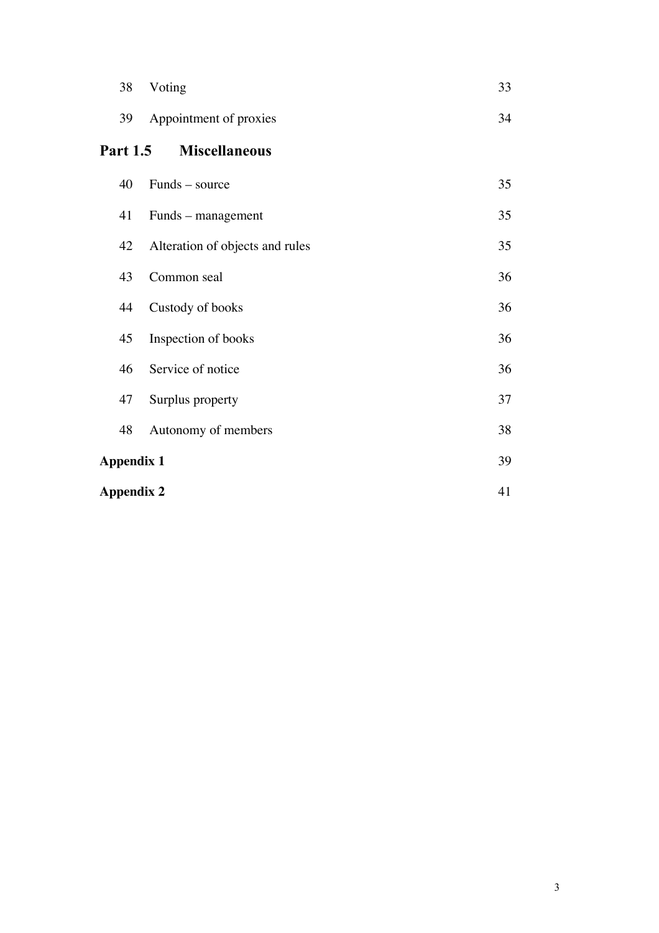|                   | 38                | Voting                          | 33 |
|-------------------|-------------------|---------------------------------|----|
|                   | 39                | Appointment of proxies          | 34 |
|                   | <b>Part 1.5</b>   | <b>Miscellaneous</b>            |    |
|                   | 40                | Funds – source                  | 35 |
|                   | 41                | Funds – management              | 35 |
|                   | 42                | Alteration of objects and rules | 35 |
|                   | 43                | Common seal                     | 36 |
|                   | 44                | Custody of books                | 36 |
|                   | 45                | Inspection of books             | 36 |
|                   | 46                | Service of notice               | 36 |
|                   | 47                | Surplus property                | 37 |
|                   | 48                | Autonomy of members             | 38 |
| <b>Appendix 1</b> |                   |                                 | 39 |
|                   | <b>Appendix 2</b> |                                 | 41 |
|                   |                   |                                 |    |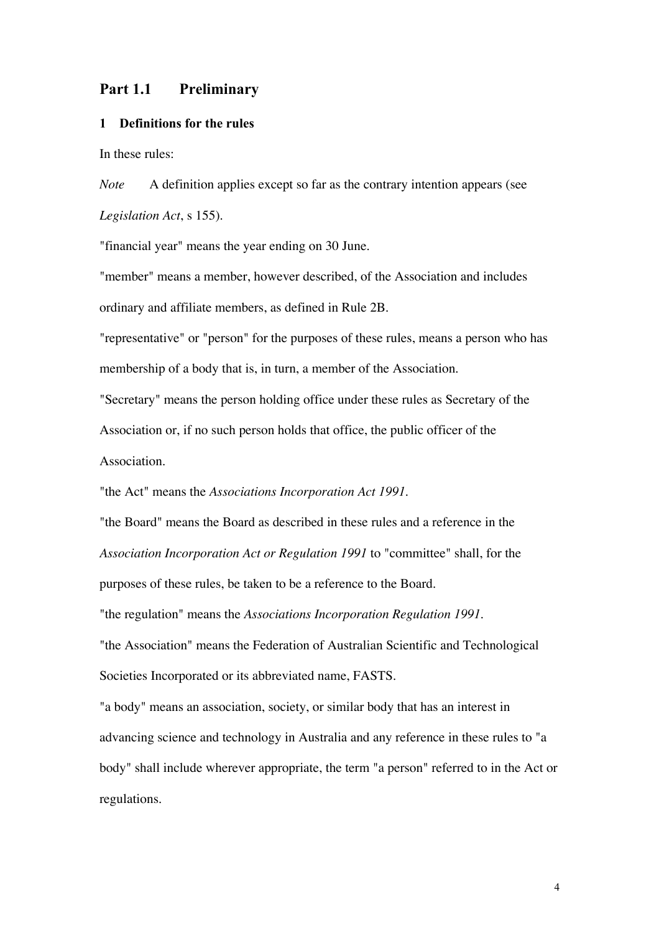## Part 1.1 Preliminary

#### 1 Definitions for the rules

In these rules:

*Note* A definition applies except so far as the contrary intention appears (see *Legislation Act*, s 155).

"financial year" means the year ending on 30 June.

"member" means a member, however described, of the Association and includes ordinary and affiliate members, as defined in Rule 2B.

"representative" or "person" for the purposes of these rules, means a person who has membership of a body that is, in turn, a member of the Association.

"Secretary" means the person holding office under these rules as Secretary of the Association or, if no such person holds that office, the public officer of the Association.

"the Act" means the *Associations Incorporation Act 1991*.

"the Board" means the Board as described in these rules and a reference in the *Association Incorporation Act or Regulation 1991* to "committee" shall, for the

purposes of these rules, be taken to be a reference to the Board.

"the regulation" means the *Associations Incorporation Regulation 1991*.

"the Association" means the Federation of Australian Scientific and Technological Societies Incorporated or its abbreviated name, FASTS.

"a body" means an association, society, or similar body that has an interest in advancing science and technology in Australia and any reference in these rules to "a body" shall include wherever appropriate, the term "a person" referred to in the Act or regulations.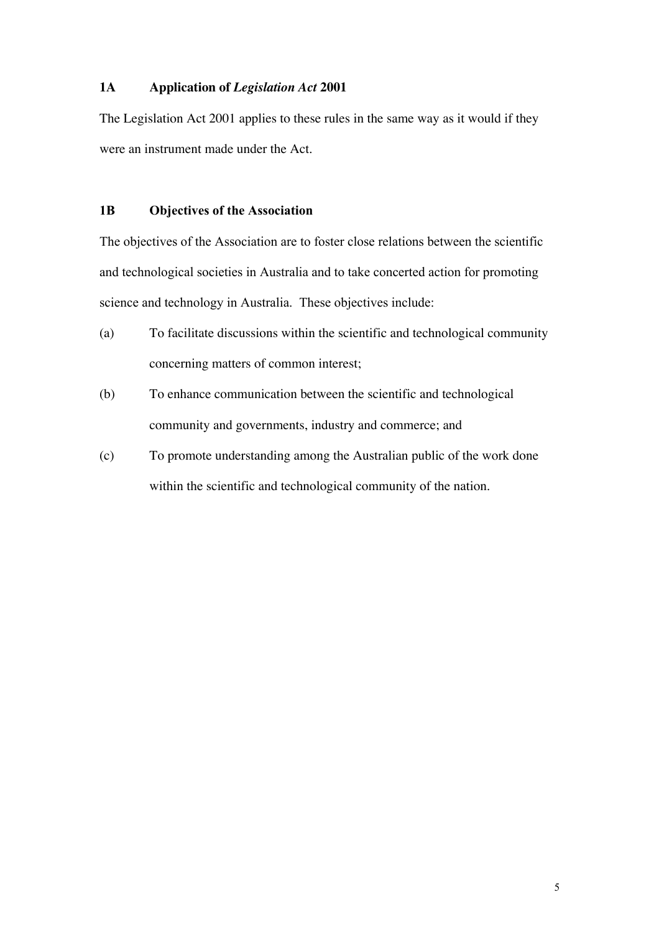## **1A Application of** *Legislation Act* **2001**

The Legislation Act 2001 applies to these rules in the same way as it would if they were an instrument made under the Act.

### 1B Objectives of the Association

The objectives of the Association are to foster close relations between the scientific and technological societies in Australia and to take concerted action for promoting science and technology in Australia. These objectives include:

- (a) To facilitate discussions within the scientific and technological community concerning matters of common interest;
- (b) To enhance communication between the scientific and technological community and governments, industry and commerce; and
- (c) To promote understanding among the Australian public of the work done within the scientific and technological community of the nation.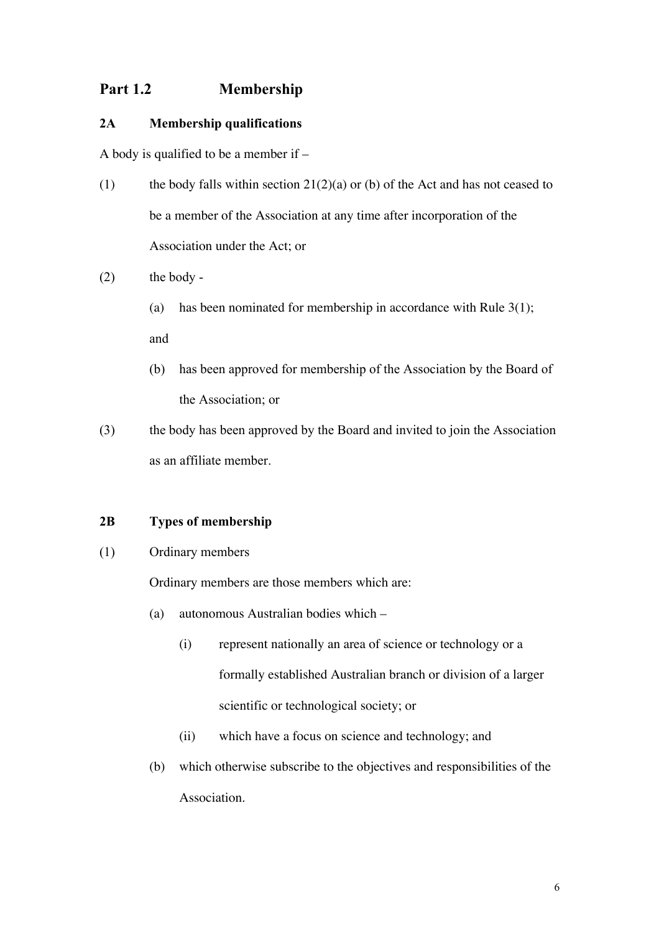## Part 1.2 Membership

## 2A Membership qualifications

A body is qualified to be a member if –

- (1) the body falls within section  $21(2)(a)$  or (b) of the Act and has not ceased to be a member of the Association at any time after incorporation of the Association under the Act; or
- $(2)$  the body -
	- (a) has been nominated for membership in accordance with Rule  $3(1)$ ; and
	- (b) has been approved for membership of the Association by the Board of the Association; or
- (3) the body has been approved by the Board and invited to join the Association as an affiliate member.

### 2B Types of membership

(1) Ordinary members

Ordinary members are those members which are:

- (a) autonomous Australian bodies which
	- (i) represent nationally an area of science or technology or a formally established Australian branch or division of a larger scientific or technological society; or
	- (ii) which have a focus on science and technology; and
- (b) which otherwise subscribe to the objectives and responsibilities of the Association.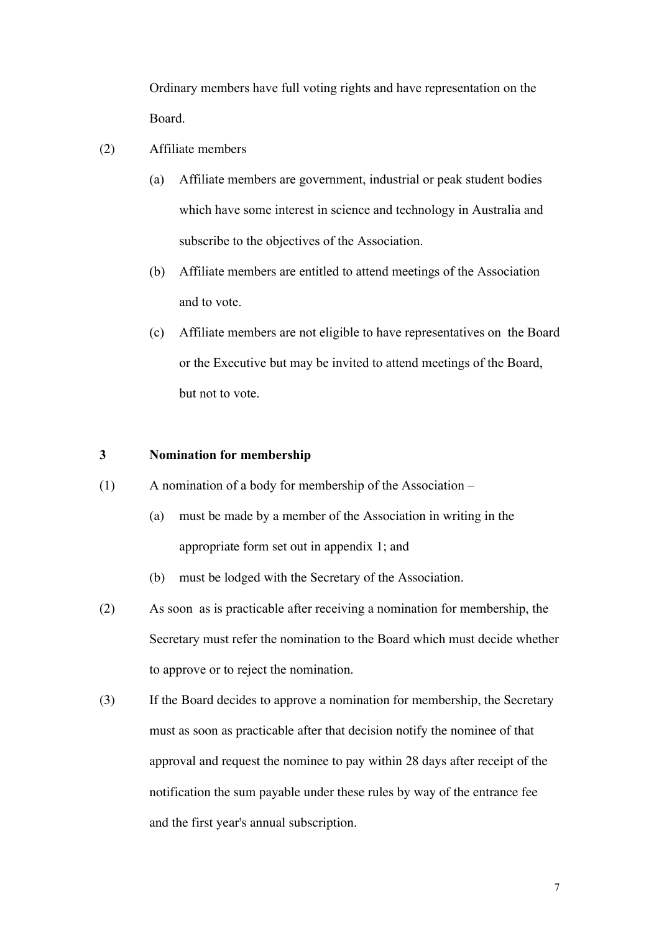Ordinary members have full voting rights and have representation on the Board.

- (2) Affiliate members
	- (a) Affiliate members are government, industrial or peak student bodies which have some interest in science and technology in Australia and subscribe to the objectives of the Association.
	- (b) Affiliate members are entitled to attend meetings of the Association and to vote.
	- (c) Affiliate members are not eligible to have representatives on the Board or the Executive but may be invited to attend meetings of the Board, but not to vote.

### 3 Nomination for membership

- (1) A nomination of a body for membership of the Association
	- (a) must be made by a member of the Association in writing in the appropriate form set out in appendix 1; and
	- (b) must be lodged with the Secretary of the Association.
- (2) As soon as is practicable after receiving a nomination for membership, the Secretary must refer the nomination to the Board which must decide whether to approve or to reject the nomination.
- (3) If the Board decides to approve a nomination for membership, the Secretary must as soon as practicable after that decision notify the nominee of that approval and request the nominee to pay within 28 days after receipt of the notification the sum payable under these rules by way of the entrance fee and the first year's annual subscription.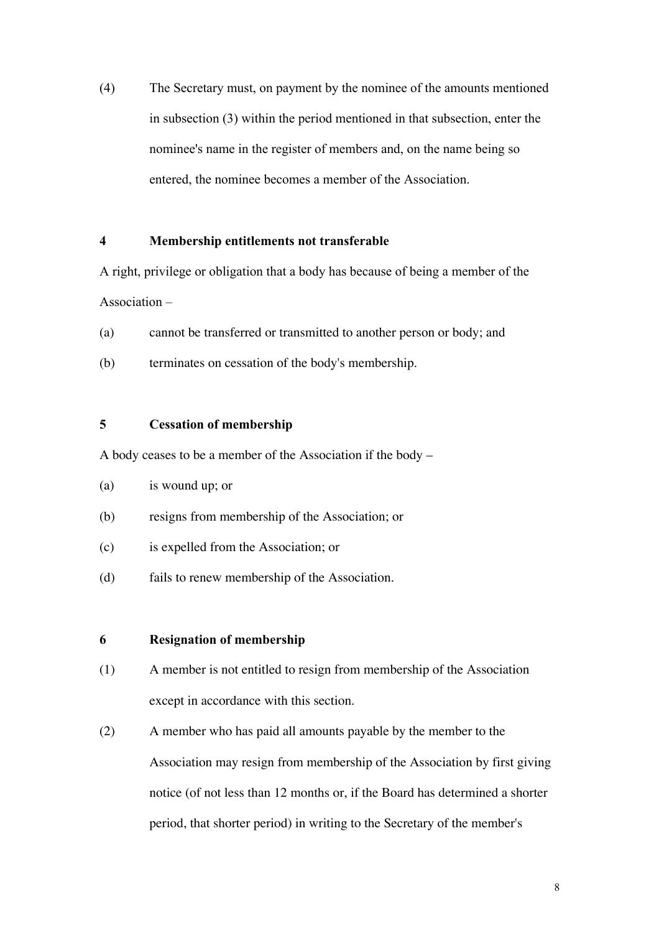(4) The Secretary must, on payment by the nominee of the amounts mentioned in subsection (3) within the period mentioned in that subsection, enter the nominee's name in the register of members and, on the name being so entered, the nominee becomes a member of the Association.

#### 4 Membership entitlements not transferable

A right, privilege or obligation that a body has because of being a member of the Association –

- (a) cannot be transferred or transmitted to another person or body; and
- (b) terminates on cessation of the body's membership.

### 5 Cessation of membership

A body ceases to be a member of the Association if the body –

- (a) is wound up; or
- (b) resigns from membership of the Association; or
- (c) is expelled from the Association; or
- (d) fails to renew membership of the Association.

#### 6 Resignation of membership

- (1) A member is not entitled to resign from membership of the Association except in accordance with this section.
- (2) A member who has paid all amounts payable by the member to the Association may resign from membership of the Association by first giving notice (of not less than 12 months or, if the Board has determined a shorter period, that shorter period) in writing to the Secretary of the member's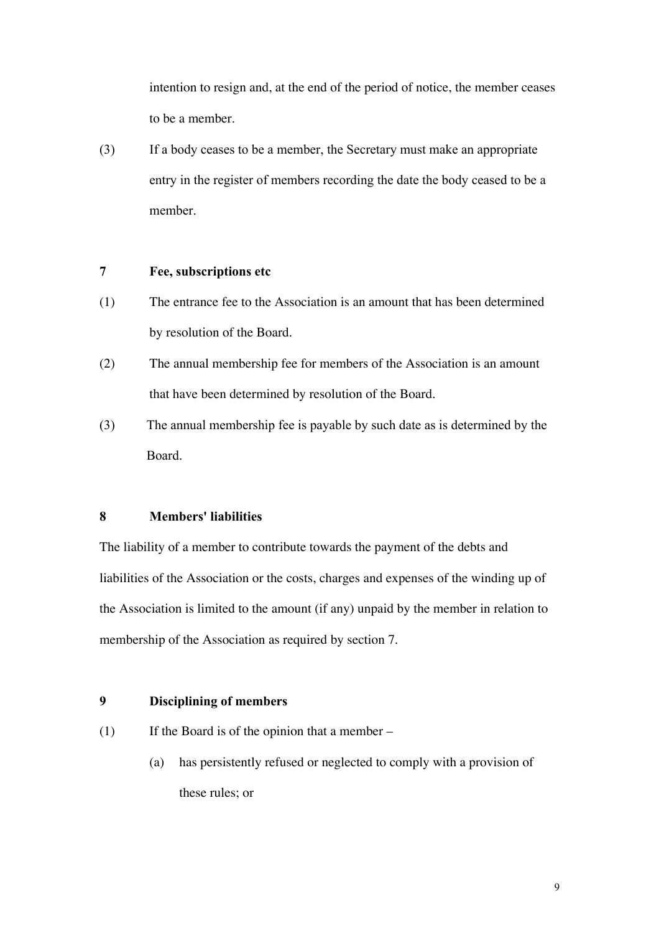intention to resign and, at the end of the period of notice, the member ceases to be a member.

(3) If a body ceases to be a member, the Secretary must make an appropriate entry in the register of members recording the date the body ceased to be a member.

#### 7 Fee, subscriptions etc

- (1) The entrance fee to the Association is an amount that has been determined by resolution of the Board.
- (2) The annual membership fee for members of the Association is an amount that have been determined by resolution of the Board.
- (3) The annual membership fee is payable by such date as is determined by the Board.

#### 8 Members' liabilities

The liability of a member to contribute towards the payment of the debts and liabilities of the Association or the costs, charges and expenses of the winding up of the Association is limited to the amount (if any) unpaid by the member in relation to membership of the Association as required by section 7.

## 9 Disciplining of members

- (1) If the Board is of the opinion that a member
	- (a) has persistently refused or neglected to comply with a provision of these rules; or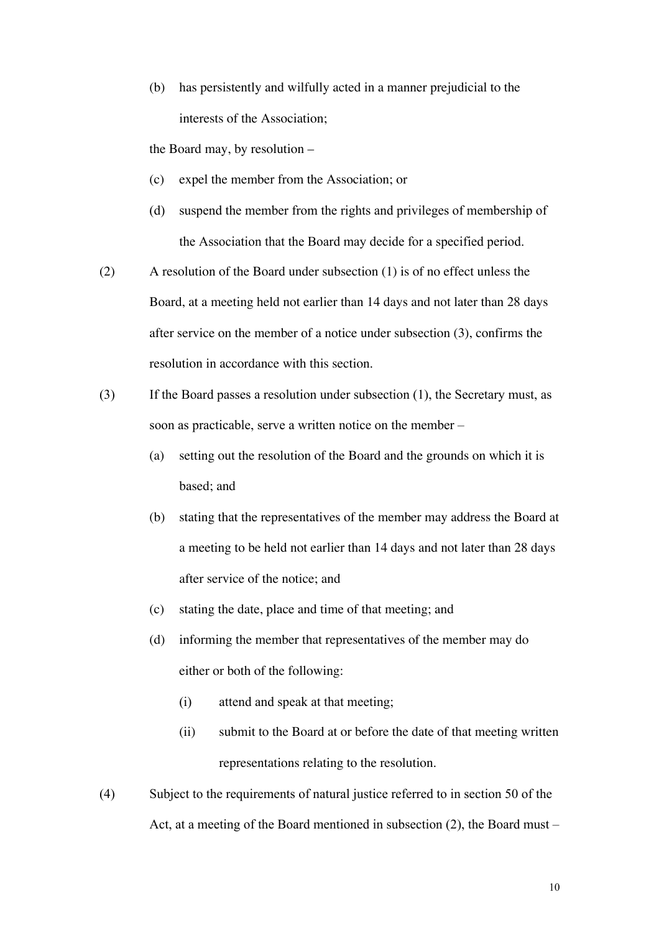(b) has persistently and wilfully acted in a manner prejudicial to the interests of the Association;

the Board may, by resolution –

- (c) expel the member from the Association; or
- (d) suspend the member from the rights and privileges of membership of the Association that the Board may decide for a specified period.
- (2) A resolution of the Board under subsection (1) is of no effect unless the Board, at a meeting held not earlier than 14 days and not later than 28 days after service on the member of a notice under subsection (3), confirms the resolution in accordance with this section.
- (3) If the Board passes a resolution under subsection (1), the Secretary must, as soon as practicable, serve a written notice on the member –
	- (a) setting out the resolution of the Board and the grounds on which it is based; and
	- (b) stating that the representatives of the member may address the Board at a meeting to be held not earlier than 14 days and not later than 28 days after service of the notice; and
	- (c) stating the date, place and time of that meeting; and
	- (d) informing the member that representatives of the member may do either or both of the following:
		- (i) attend and speak at that meeting;
		- (ii) submit to the Board at or before the date of that meeting written representations relating to the resolution.
- (4) Subject to the requirements of natural justice referred to in section 50 of the Act, at a meeting of the Board mentioned in subsection (2), the Board must –

10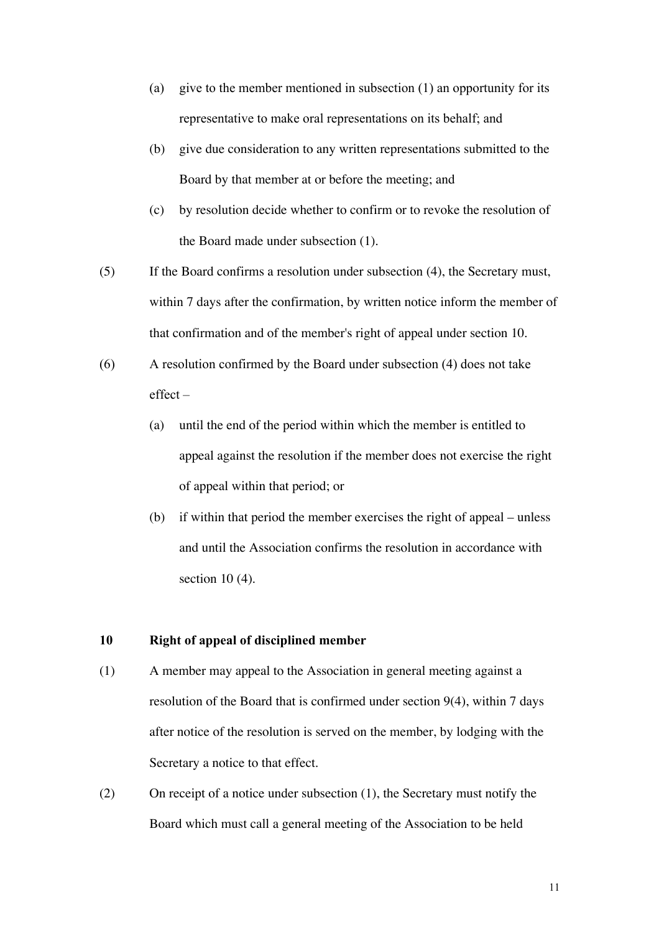- (a) give to the member mentioned in subsection (1) an opportunity for its representative to make oral representations on its behalf; and
- (b) give due consideration to any written representations submitted to the Board by that member at or before the meeting; and
- (c) by resolution decide whether to confirm or to revoke the resolution of the Board made under subsection (1).
- (5) If the Board confirms a resolution under subsection (4), the Secretary must, within 7 days after the confirmation, by written notice inform the member of that confirmation and of the member's right of appeal under section 10.
- (6) A resolution confirmed by the Board under subsection (4) does not take effect –
	- (a) until the end of the period within which the member is entitled to appeal against the resolution if the member does not exercise the right of appeal within that period; or
	- (b) if within that period the member exercises the right of appeal unless and until the Association confirms the resolution in accordance with section 10 (4).

#### 10 Right of appeal of disciplined member

- (1) A member may appeal to the Association in general meeting against a resolution of the Board that is confirmed under section 9(4), within 7 days after notice of the resolution is served on the member, by lodging with the Secretary a notice to that effect.
- (2) On receipt of a notice under subsection (1), the Secretary must notify the Board which must call a general meeting of the Association to be held

11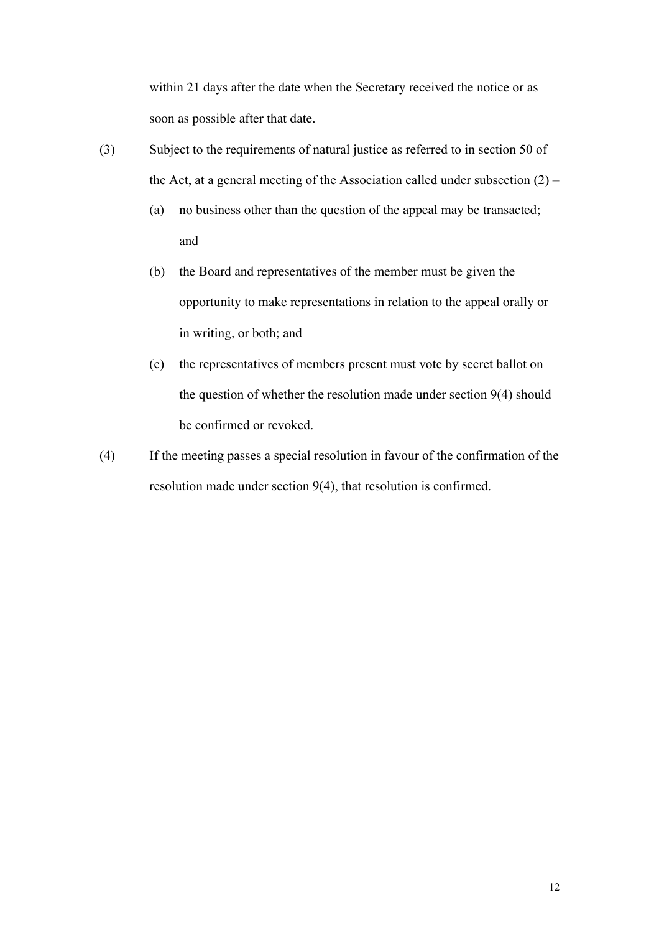within 21 days after the date when the Secretary received the notice or as soon as possible after that date.

- (3) Subject to the requirements of natural justice as referred to in section 50 of the Act, at a general meeting of the Association called under subsection  $(2)$  –
	- (a) no business other than the question of the appeal may be transacted; and
	- (b) the Board and representatives of the member must be given the opportunity to make representations in relation to the appeal orally or in writing, or both; and
	- (c) the representatives of members present must vote by secret ballot on the question of whether the resolution made under section 9(4) should be confirmed or revoked.
- (4) If the meeting passes a special resolution in favour of the confirmation of the resolution made under section 9(4), that resolution is confirmed.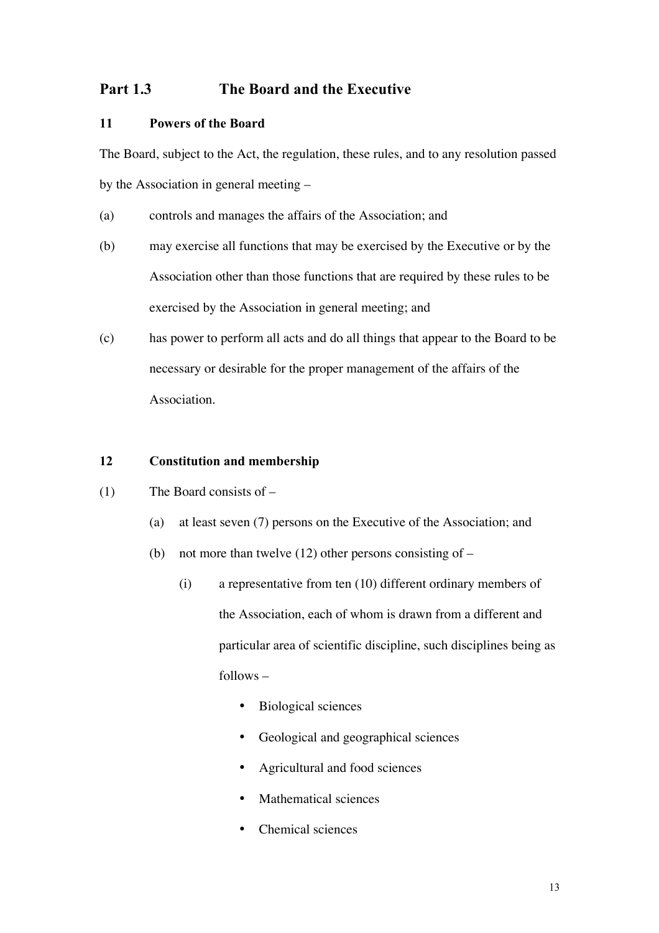## Part 1.3 The Board and the Executive

## 11 Powers of the Board

The Board, subject to the Act, the regulation, these rules, and to any resolution passed by the Association in general meeting –

- (a) controls and manages the affairs of the Association; and
- (b) may exercise all functions that may be exercised by the Executive or by the Association other than those functions that are required by these rules to be exercised by the Association in general meeting; and
- (c) has power to perform all acts and do all things that appear to the Board to be necessary or desirable for the proper management of the affairs of the Association.

## 12 Constitution and membership

- (1) The Board consists of
	- (a) at least seven (7) persons on the Executive of the Association; and
	- (b) not more than twelve  $(12)$  other persons consisting of  $-$ 
		- (i) a representative from ten (10) different ordinary members of the Association, each of whom is drawn from a different and particular area of scientific discipline, such disciplines being as follows –
			- Biological sciences
			- Geological and geographical sciences
			- Agricultural and food sciences
			- Mathematical sciences
			- Chemical sciences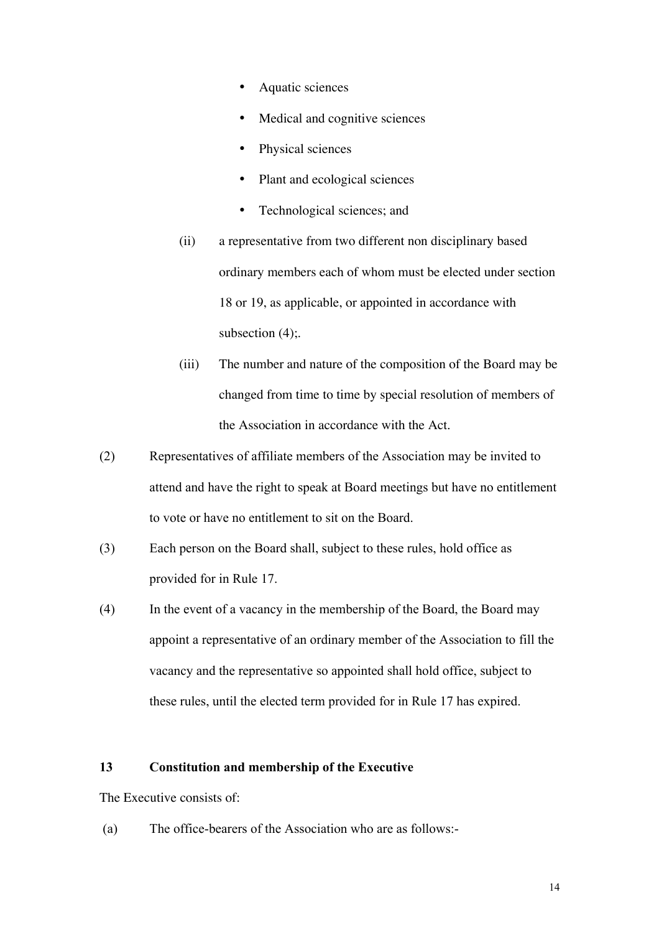- Aquatic sciences
- Medical and cognitive sciences
- Physical sciences
- Plant and ecological sciences
- Technological sciences; and
- (ii) a representative from two different non disciplinary based ordinary members each of whom must be elected under section 18 or 19, as applicable, or appointed in accordance with subsection  $(4)$ ;
- (iii) The number and nature of the composition of the Board may be changed from time to time by special resolution of members of the Association in accordance with the Act.
- (2) Representatives of affiliate members of the Association may be invited to attend and have the right to speak at Board meetings but have no entitlement to vote or have no entitlement to sit on the Board.
- (3) Each person on the Board shall, subject to these rules, hold office as provided for in Rule 17.
- (4) In the event of a vacancy in the membership of the Board, the Board may appoint a representative of an ordinary member of the Association to fill the vacancy and the representative so appointed shall hold office, subject to these rules, until the elected term provided for in Rule 17 has expired.

#### 13 Constitution and membership of the Executive

The Executive consists of:

(a) The office-bearers of the Association who are as follows:-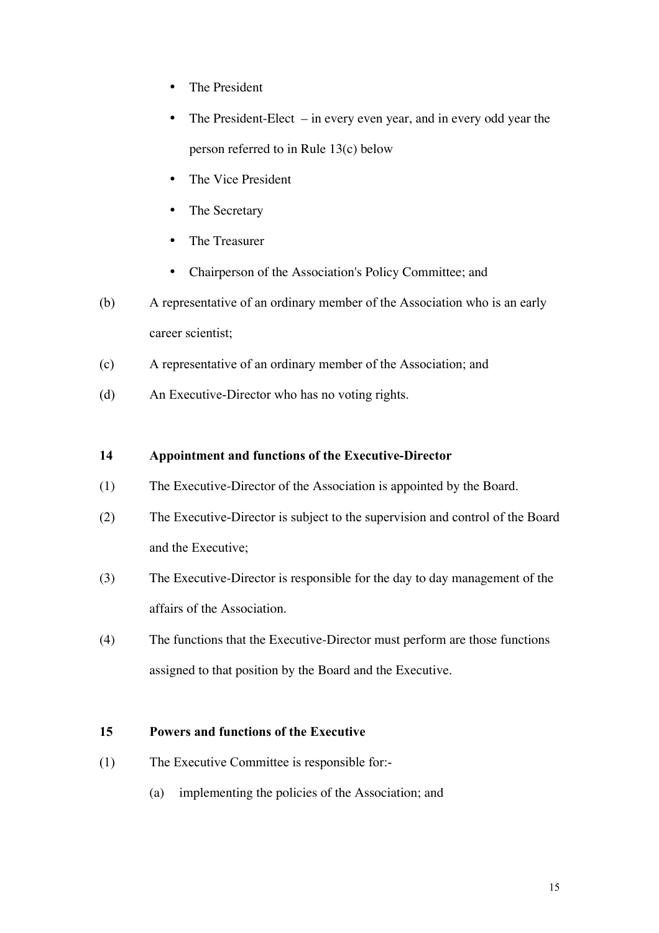- The President
- The President-Elect in every even year, and in every odd year the person referred to in Rule 13(c) below
- The Vice President
- The Secretary
- The Treasurer
- Chairperson of the Association's Policy Committee; and
- (b) A representative of an ordinary member of the Association who is an early career scientist;
- (c) A representative of an ordinary member of the Association; and
- (d) An Executive-Director who has no voting rights.

### 14 Appointment and functions of the Executive-Director

- (1) The Executive-Director of the Association is appointed by the Board.
- (2) The Executive-Director is subject to the supervision and control of the Board and the Executive;
- (3) The Executive-Director is responsible for the day to day management of the affairs of the Association.
- (4) The functions that the Executive-Director must perform are those functions assigned to that position by the Board and the Executive.

## 15 Powers and functions of the Executive

- (1) The Executive Committee is responsible for:-
	- (a) implementing the policies of the Association; and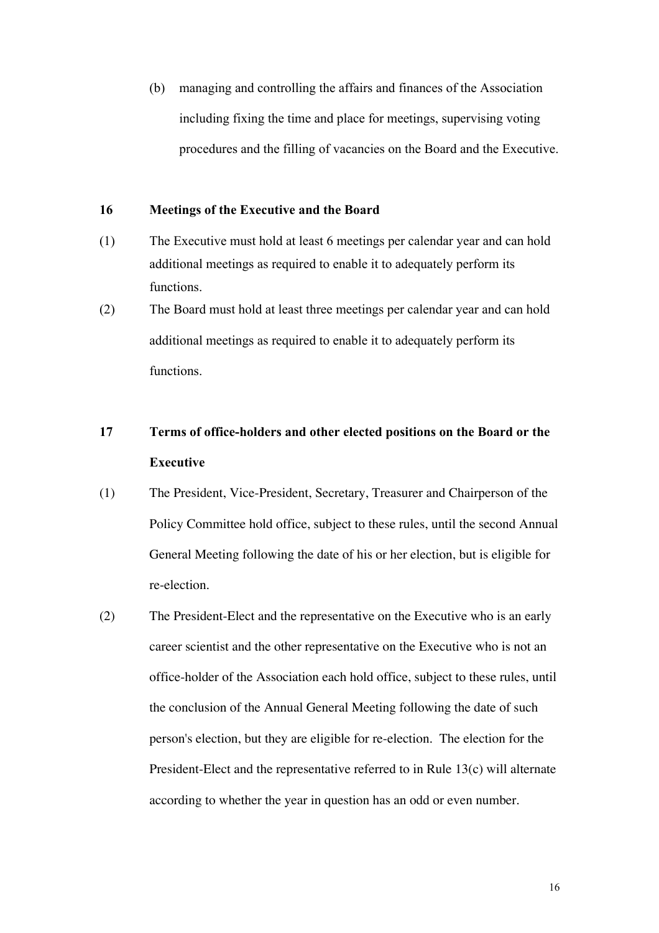(b) managing and controlling the affairs and finances of the Association including fixing the time and place for meetings, supervising voting procedures and the filling of vacancies on the Board and the Executive.

#### 16 Meetings of the Executive and the Board

- (1) The Executive must hold at least 6 meetings per calendar year and can hold additional meetings as required to enable it to adequately perform its functions.
- (2) The Board must hold at least three meetings per calendar year and can hold additional meetings as required to enable it to adequately perform its functions.

# 17 Terms of office-holders and other elected positions on the Board or the Executive

- (1) The President, Vice-President, Secretary, Treasurer and Chairperson of the Policy Committee hold office, subject to these rules, until the second Annual General Meeting following the date of his or her election, but is eligible for re-election.
- (2) The President-Elect and the representative on the Executive who is an early career scientist and the other representative on the Executive who is not an office-holder of the Association each hold office, subject to these rules, until the conclusion of the Annual General Meeting following the date of such person's election, but they are eligible for re-election. The election for the President-Elect and the representative referred to in Rule 13(c) will alternate according to whether the year in question has an odd or even number.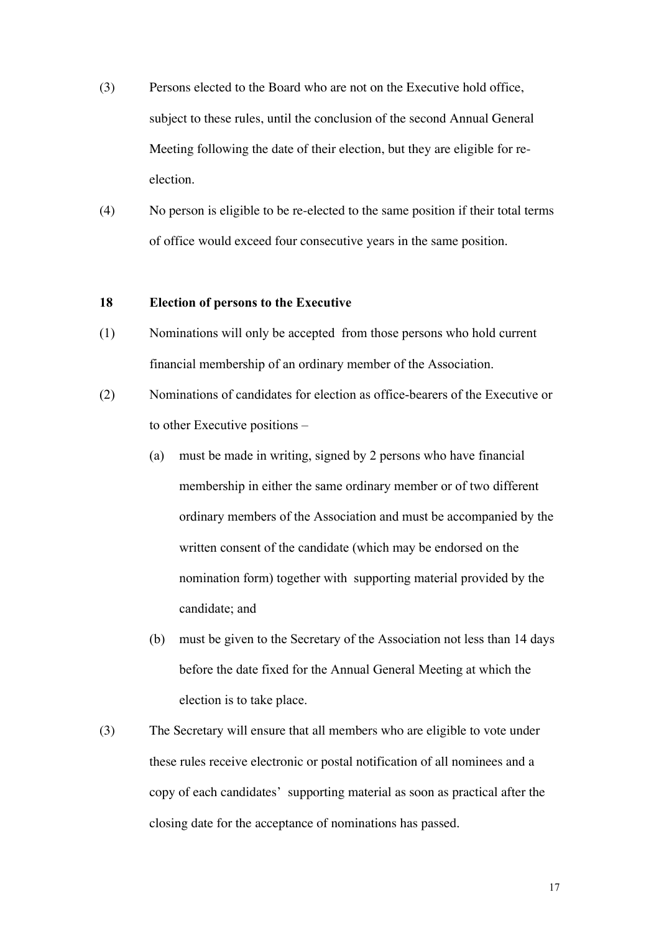- (3) Persons elected to the Board who are not on the Executive hold office, subject to these rules, until the conclusion of the second Annual General Meeting following the date of their election, but they are eligible for reelection.
- (4) No person is eligible to be re-elected to the same position if their total terms of office would exceed four consecutive years in the same position.

### 18 Election of persons to the Executive

- (1) Nominations will only be accepted from those persons who hold current financial membership of an ordinary member of the Association.
- (2) Nominations of candidates for election as office-bearers of the Executive or to other Executive positions –
	- (a) must be made in writing, signed by 2 persons who have financial membership in either the same ordinary member or of two different ordinary members of the Association and must be accompanied by the written consent of the candidate (which may be endorsed on the nomination form) together with supporting material provided by the candidate; and
	- (b) must be given to the Secretary of the Association not less than 14 days before the date fixed for the Annual General Meeting at which the election is to take place.
- (3) The Secretary will ensure that all members who are eligible to vote under these rules receive electronic or postal notification of all nominees and a copy of each candidates' supporting material as soon as practical after the closing date for the acceptance of nominations has passed.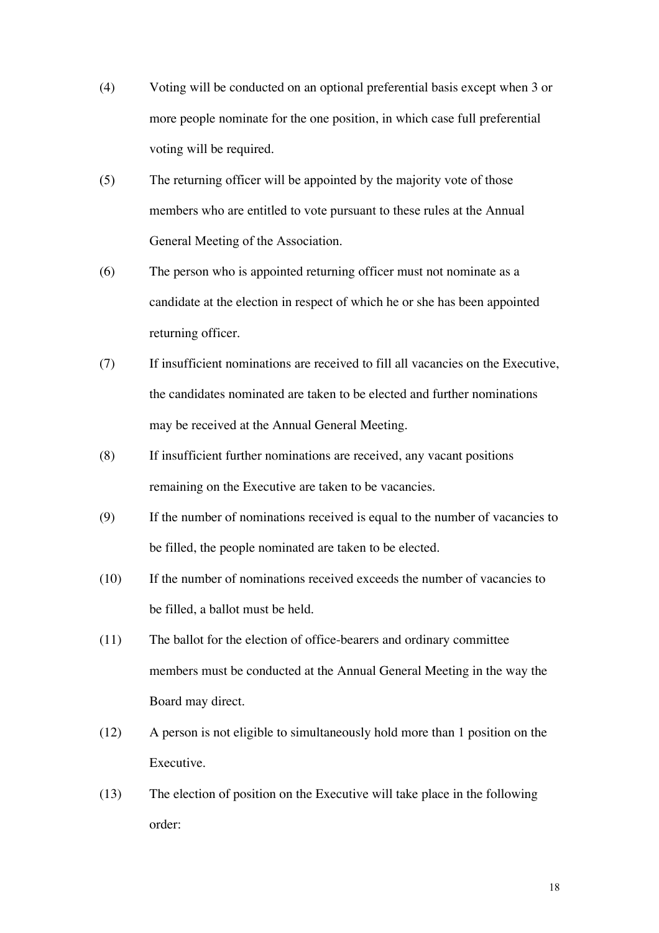- (4) Voting will be conducted on an optional preferential basis except when 3 or more people nominate for the one position, in which case full preferential voting will be required.
- (5) The returning officer will be appointed by the majority vote of those members who are entitled to vote pursuant to these rules at the Annual General Meeting of the Association.
- (6) The person who is appointed returning officer must not nominate as a candidate at the election in respect of which he or she has been appointed returning officer.
- (7) If insufficient nominations are received to fill all vacancies on the Executive, the candidates nominated are taken to be elected and further nominations may be received at the Annual General Meeting.
- (8) If insufficient further nominations are received, any vacant positions remaining on the Executive are taken to be vacancies.
- (9) If the number of nominations received is equal to the number of vacancies to be filled, the people nominated are taken to be elected.
- (10) If the number of nominations received exceeds the number of vacancies to be filled, a ballot must be held.
- (11) The ballot for the election of office-bearers and ordinary committee members must be conducted at the Annual General Meeting in the way the Board may direct.
- (12) A person is not eligible to simultaneously hold more than 1 position on the Executive.
- (13) The election of position on the Executive will take place in the following order: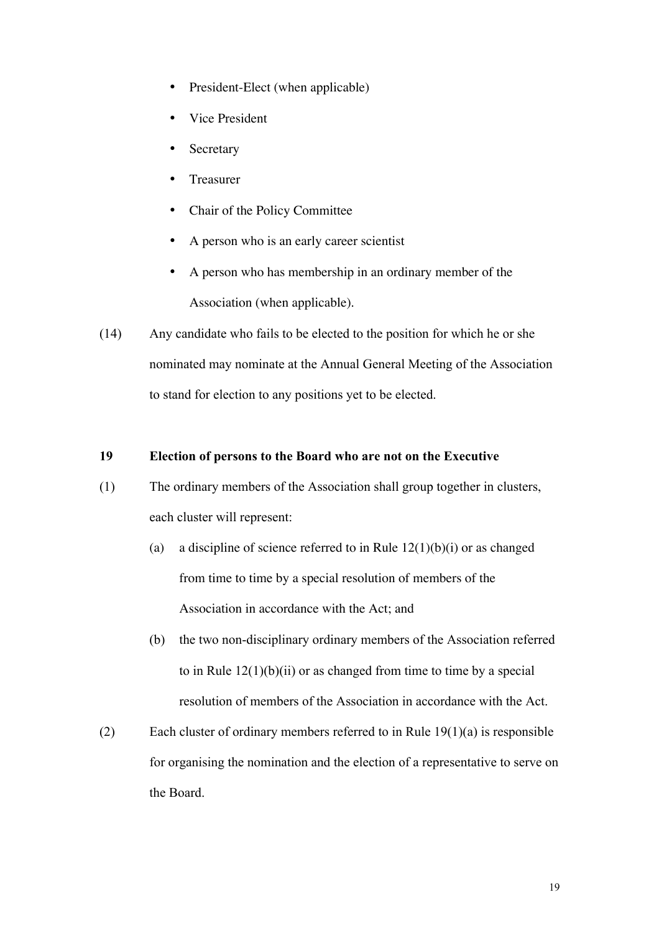- President-Elect (when applicable)
- Vice President
- **Secretary**
- Treasurer
- Chair of the Policy Committee
- A person who is an early career scientist
- A person who has membership in an ordinary member of the Association (when applicable).
- (14) Any candidate who fails to be elected to the position for which he or she nominated may nominate at the Annual General Meeting of the Association to stand for election to any positions yet to be elected.

### 19 Election of persons to the Board who are not on the Executive

- (1) The ordinary members of the Association shall group together in clusters, each cluster will represent:
	- (a) a discipline of science referred to in Rule  $12(1)(b)(i)$  or as changed from time to time by a special resolution of members of the Association in accordance with the Act; and
	- (b) the two non-disciplinary ordinary members of the Association referred to in Rule  $12(1)(b)(ii)$  or as changed from time to time by a special resolution of members of the Association in accordance with the Act.
- (2) Each cluster of ordinary members referred to in Rule 19(1)(a) is responsible for organising the nomination and the election of a representative to serve on the Board.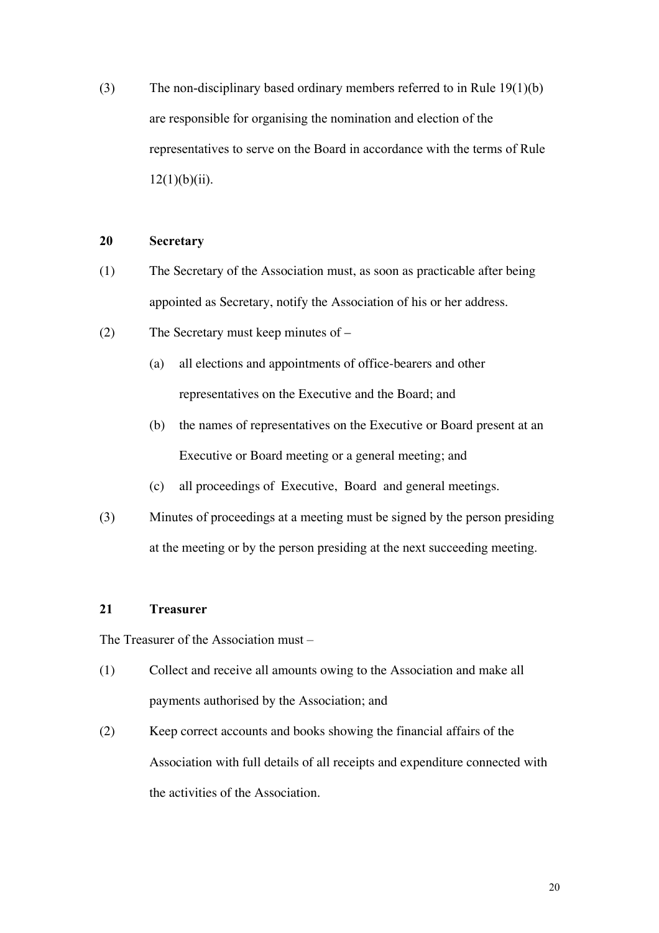(3) The non-disciplinary based ordinary members referred to in Rule 19(1)(b) are responsible for organising the nomination and election of the representatives to serve on the Board in accordance with the terms of Rule  $12(1)(b)(ii)$ .

#### 20 Secretary

- (1) The Secretary of the Association must, as soon as practicable after being appointed as Secretary, notify the Association of his or her address.
- (2) The Secretary must keep minutes of
	- (a) all elections and appointments of office-bearers and other representatives on the Executive and the Board; and
	- (b) the names of representatives on the Executive or Board present at an Executive or Board meeting or a general meeting; and
	- (c) all proceedings of Executive, Board and general meetings.
- (3) Minutes of proceedings at a meeting must be signed by the person presiding at the meeting or by the person presiding at the next succeeding meeting.

#### 21 Treasurer

The Treasurer of the Association must –

- (1) Collect and receive all amounts owing to the Association and make all payments authorised by the Association; and
- (2) Keep correct accounts and books showing the financial affairs of the Association with full details of all receipts and expenditure connected with the activities of the Association.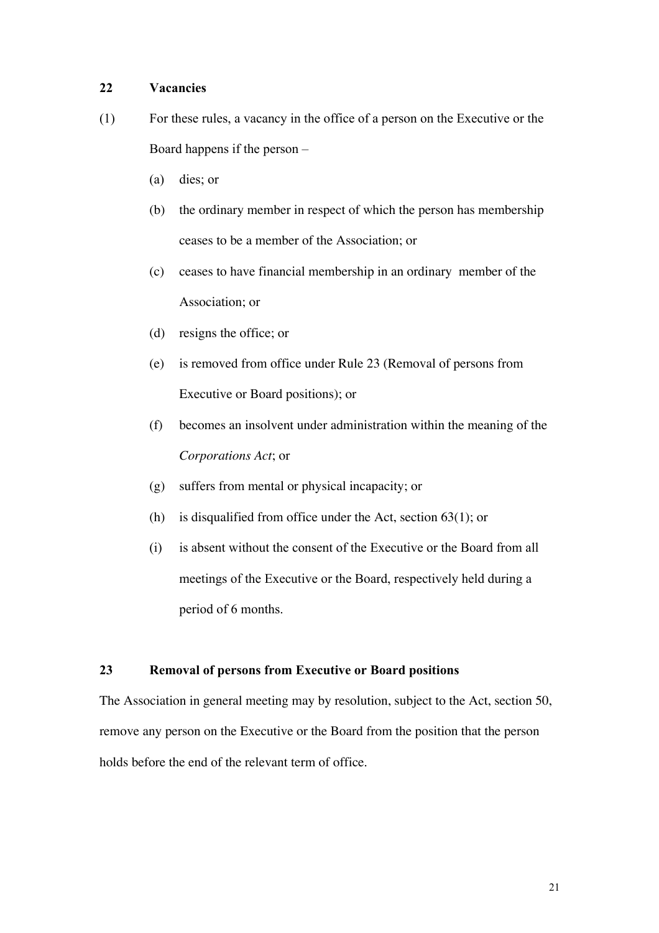## 22 Vacancies

- (1) For these rules, a vacancy in the office of a person on the Executive or the Board happens if the person –
	- (a) dies; or
	- (b) the ordinary member in respect of which the person has membership ceases to be a member of the Association; or
	- (c) ceases to have financial membership in an ordinary member of the Association; or
	- (d) resigns the office; or
	- (e) is removed from office under Rule 23 (Removal of persons from Executive or Board positions); or
	- (f) becomes an insolvent under administration within the meaning of the *Corporations Act*; or
	- (g) suffers from mental or physical incapacity; or
	- (h) is disqualified from office under the Act, section  $63(1)$ ; or
	- (i) is absent without the consent of the Executive or the Board from all meetings of the Executive or the Board, respectively held during a period of 6 months.

## 23 Removal of persons from Executive or Board positions

The Association in general meeting may by resolution, subject to the Act, section 50, remove any person on the Executive or the Board from the position that the person holds before the end of the relevant term of office.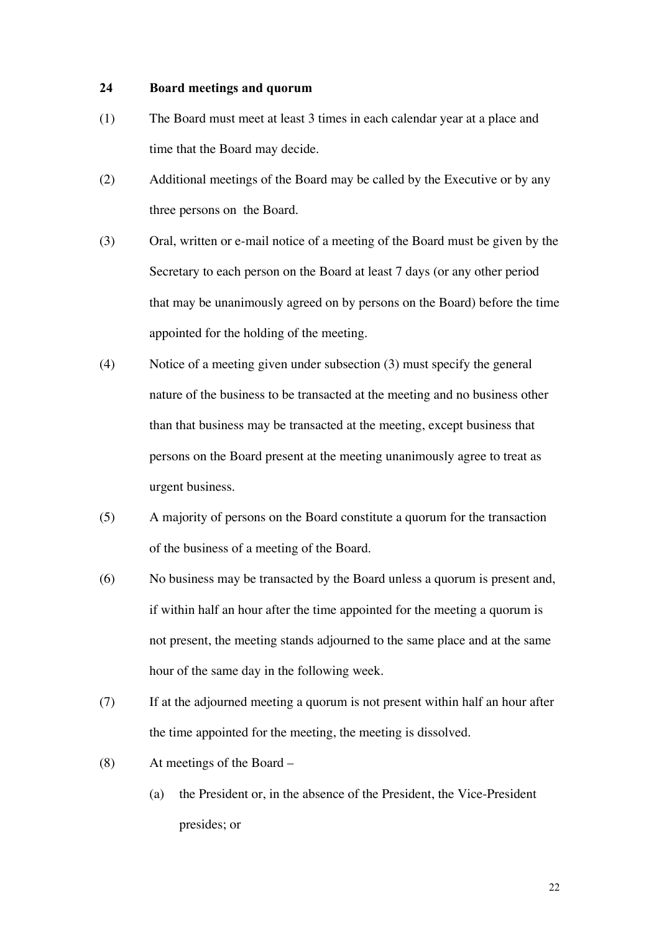#### 24 Board meetings and quorum

- (1) The Board must meet at least 3 times in each calendar year at a place and time that the Board may decide.
- (2) Additional meetings of the Board may be called by the Executive or by any three persons on the Board.
- (3) Oral, written or e-mail notice of a meeting of the Board must be given by the Secretary to each person on the Board at least 7 days (or any other period that may be unanimously agreed on by persons on the Board) before the time appointed for the holding of the meeting.
- (4) Notice of a meeting given under subsection (3) must specify the general nature of the business to be transacted at the meeting and no business other than that business may be transacted at the meeting, except business that persons on the Board present at the meeting unanimously agree to treat as urgent business.
- (5) A majority of persons on the Board constitute a quorum for the transaction of the business of a meeting of the Board.
- (6) No business may be transacted by the Board unless a quorum is present and, if within half an hour after the time appointed for the meeting a quorum is not present, the meeting stands adjourned to the same place and at the same hour of the same day in the following week.
- (7) If at the adjourned meeting a quorum is not present within half an hour after the time appointed for the meeting, the meeting is dissolved.
- (8) At meetings of the Board
	- (a) the President or, in the absence of the President, the Vice-President presides; or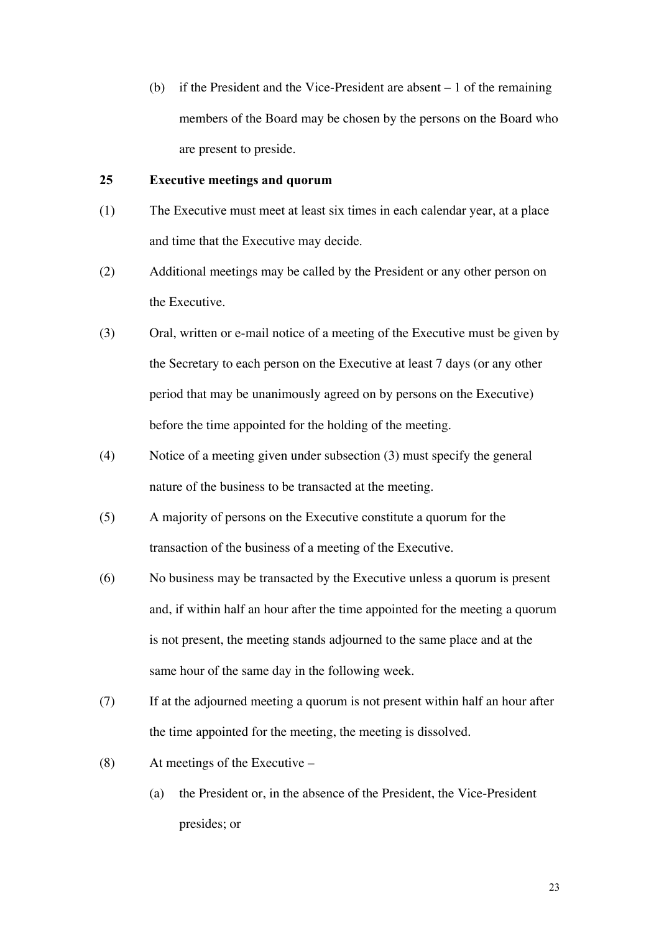(b) if the President and the Vice-President are absent – 1 of the remaining members of the Board may be chosen by the persons on the Board who are present to preside.

### 25 Executive meetings and quorum

- (1) The Executive must meet at least six times in each calendar year, at a place and time that the Executive may decide.
- (2) Additional meetings may be called by the President or any other person on the Executive.
- (3) Oral, written or e-mail notice of a meeting of the Executive must be given by the Secretary to each person on the Executive at least 7 days (or any other period that may be unanimously agreed on by persons on the Executive) before the time appointed for the holding of the meeting.
- (4) Notice of a meeting given under subsection (3) must specify the general nature of the business to be transacted at the meeting.
- (5) A majority of persons on the Executive constitute a quorum for the transaction of the business of a meeting of the Executive.
- (6) No business may be transacted by the Executive unless a quorum is present and, if within half an hour after the time appointed for the meeting a quorum is not present, the meeting stands adjourned to the same place and at the same hour of the same day in the following week.
- (7) If at the adjourned meeting a quorum is not present within half an hour after the time appointed for the meeting, the meeting is dissolved.
- (8) At meetings of the Executive
	- (a) the President or, in the absence of the President, the Vice-President presides; or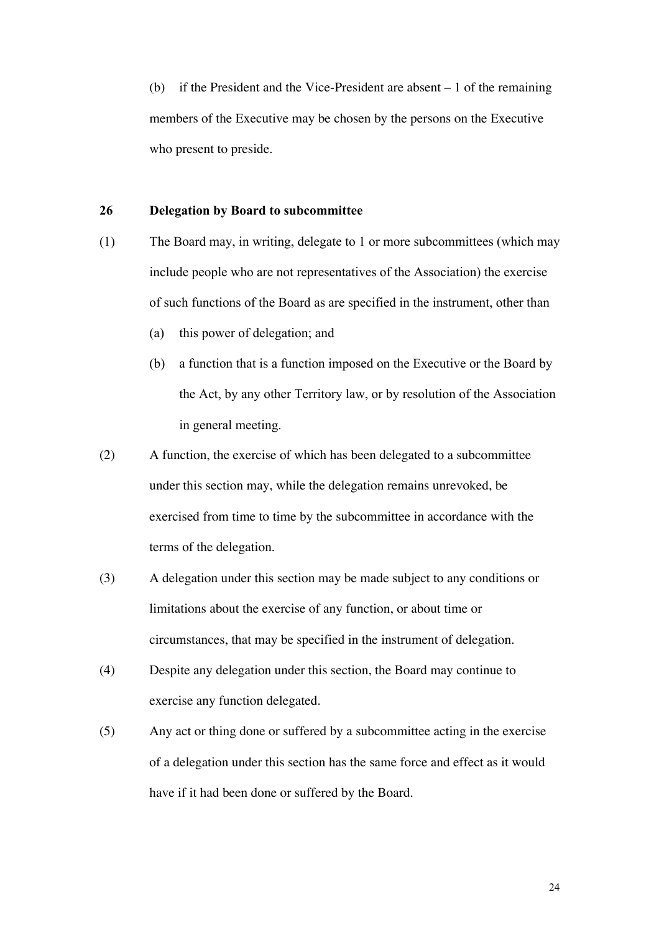(b) if the President and the Vice-President are absent – 1 of the remaining members of the Executive may be chosen by the persons on the Executive who present to preside.

#### 26 Delegation by Board to subcommittee

- (1) The Board may, in writing, delegate to 1 or more subcommittees (which may include people who are not representatives of the Association) the exercise of such functions of the Board as are specified in the instrument, other than
	- (a) this power of delegation; and
	- (b) a function that is a function imposed on the Executive or the Board by the Act, by any other Territory law, or by resolution of the Association in general meeting.
- (2) A function, the exercise of which has been delegated to a subcommittee under this section may, while the delegation remains unrevoked, be exercised from time to time by the subcommittee in accordance with the terms of the delegation.
- (3) A delegation under this section may be made subject to any conditions or limitations about the exercise of any function, or about time or circumstances, that may be specified in the instrument of delegation.
- (4) Despite any delegation under this section, the Board may continue to exercise any function delegated.
- (5) Any act or thing done or suffered by a subcommittee acting in the exercise of a delegation under this section has the same force and effect as it would have if it had been done or suffered by the Board.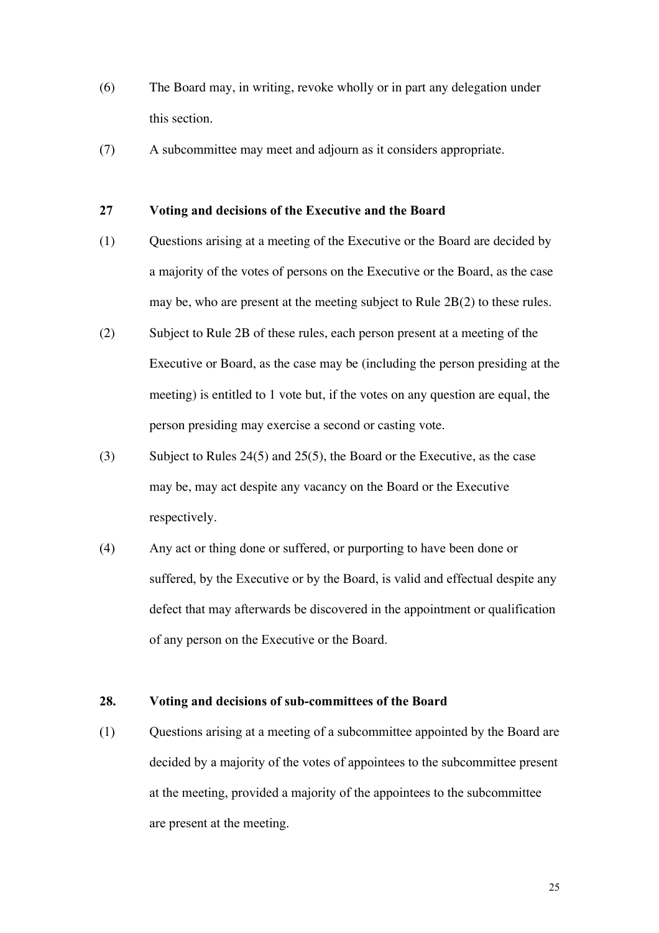- (6) The Board may, in writing, revoke wholly or in part any delegation under this section.
- (7) A subcommittee may meet and adjourn as it considers appropriate.

#### 27 Voting and decisions of the Executive and the Board

- (1) Questions arising at a meeting of the Executive or the Board are decided by a majority of the votes of persons on the Executive or the Board, as the case may be, who are present at the meeting subject to Rule 2B(2) to these rules.
- (2) Subject to Rule 2B of these rules, each person present at a meeting of the Executive or Board, as the case may be (including the person presiding at the meeting) is entitled to 1 vote but, if the votes on any question are equal, the person presiding may exercise a second or casting vote.
- (3) Subject to Rules 24(5) and 25(5), the Board or the Executive, as the case may be, may act despite any vacancy on the Board or the Executive respectively.
- (4) Any act or thing done or suffered, or purporting to have been done or suffered, by the Executive or by the Board, is valid and effectual despite any defect that may afterwards be discovered in the appointment or qualification of any person on the Executive or the Board.

#### 28. Voting and decisions of sub-committees of the Board

(1) Questions arising at a meeting of a subcommittee appointed by the Board are decided by a majority of the votes of appointees to the subcommittee present at the meeting, provided a majority of the appointees to the subcommittee are present at the meeting.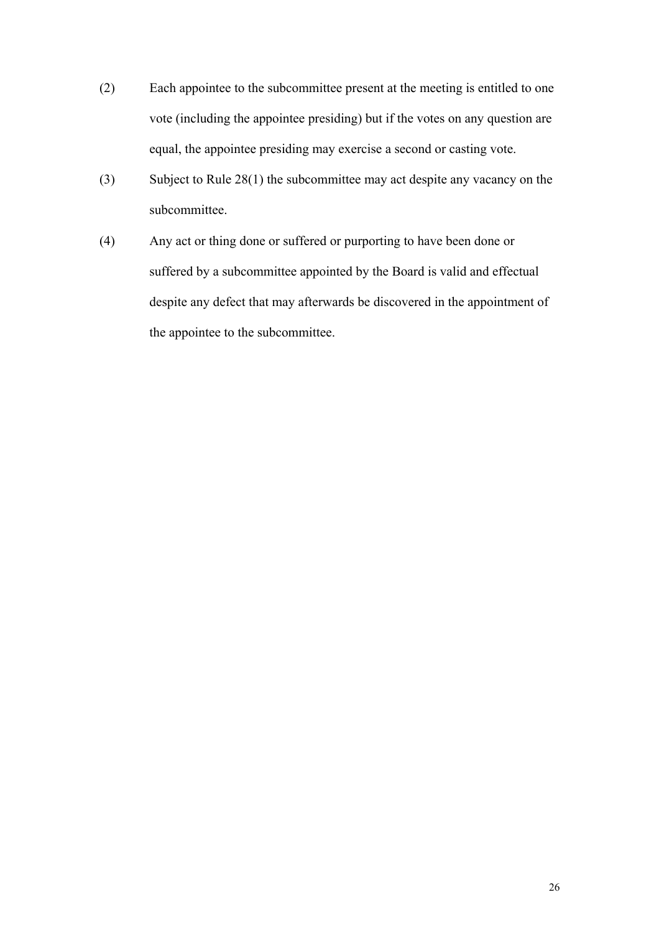- (2) Each appointee to the subcommittee present at the meeting is entitled to one vote (including the appointee presiding) but if the votes on any question are equal, the appointee presiding may exercise a second or casting vote.
- (3) Subject to Rule 28(1) the subcommittee may act despite any vacancy on the subcommittee.
- (4) Any act or thing done or suffered or purporting to have been done or suffered by a subcommittee appointed by the Board is valid and effectual despite any defect that may afterwards be discovered in the appointment of the appointee to the subcommittee.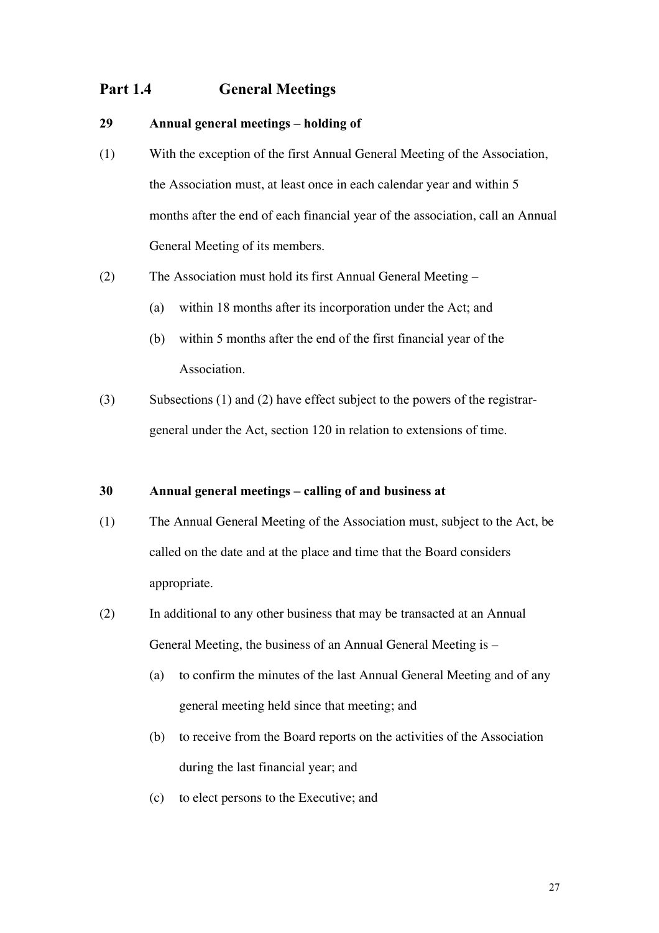## Part 1.4 General Meetings

#### 29 Annual general meetings – holding of

- (1) With the exception of the first Annual General Meeting of the Association, the Association must, at least once in each calendar year and within 5 months after the end of each financial year of the association, call an Annual General Meeting of its members.
- (2) The Association must hold its first Annual General Meeting
	- (a) within 18 months after its incorporation under the Act; and
	- (b) within 5 months after the end of the first financial year of the **Association**
- (3) Subsections (1) and (2) have effect subject to the powers of the registrargeneral under the Act, section 120 in relation to extensions of time.

## 30 Annual general meetings – calling of and business at

- (1) The Annual General Meeting of the Association must, subject to the Act, be called on the date and at the place and time that the Board considers appropriate.
- (2) In additional to any other business that may be transacted at an Annual General Meeting, the business of an Annual General Meeting is –
	- (a) to confirm the minutes of the last Annual General Meeting and of any general meeting held since that meeting; and
	- (b) to receive from the Board reports on the activities of the Association during the last financial year; and
	- (c) to elect persons to the Executive; and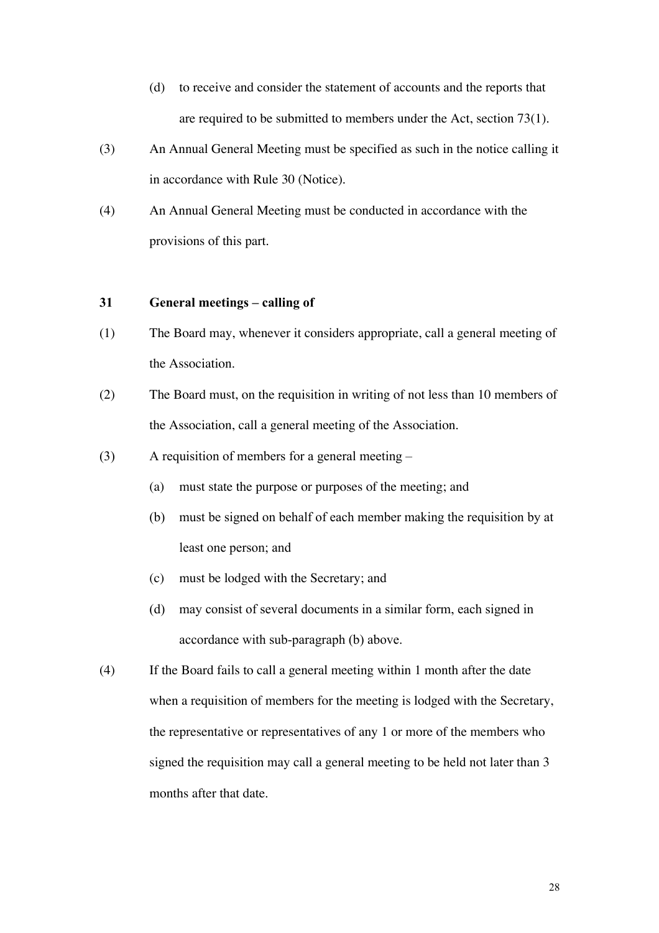- (d) to receive and consider the statement of accounts and the reports that are required to be submitted to members under the Act, section 73(1).
- (3) An Annual General Meeting must be specified as such in the notice calling it in accordance with Rule 30 (Notice).
- (4) An Annual General Meeting must be conducted in accordance with the provisions of this part.

### 31 General meetings – calling of

- (1) The Board may, whenever it considers appropriate, call a general meeting of the Association.
- (2) The Board must, on the requisition in writing of not less than 10 members of the Association, call a general meeting of the Association.
- (3) A requisition of members for a general meeting
	- (a) must state the purpose or purposes of the meeting; and
	- (b) must be signed on behalf of each member making the requisition by at least one person; and
	- (c) must be lodged with the Secretary; and
	- (d) may consist of several documents in a similar form, each signed in accordance with sub-paragraph (b) above.
- (4) If the Board fails to call a general meeting within 1 month after the date when a requisition of members for the meeting is lodged with the Secretary, the representative or representatives of any 1 or more of the members who signed the requisition may call a general meeting to be held not later than 3 months after that date.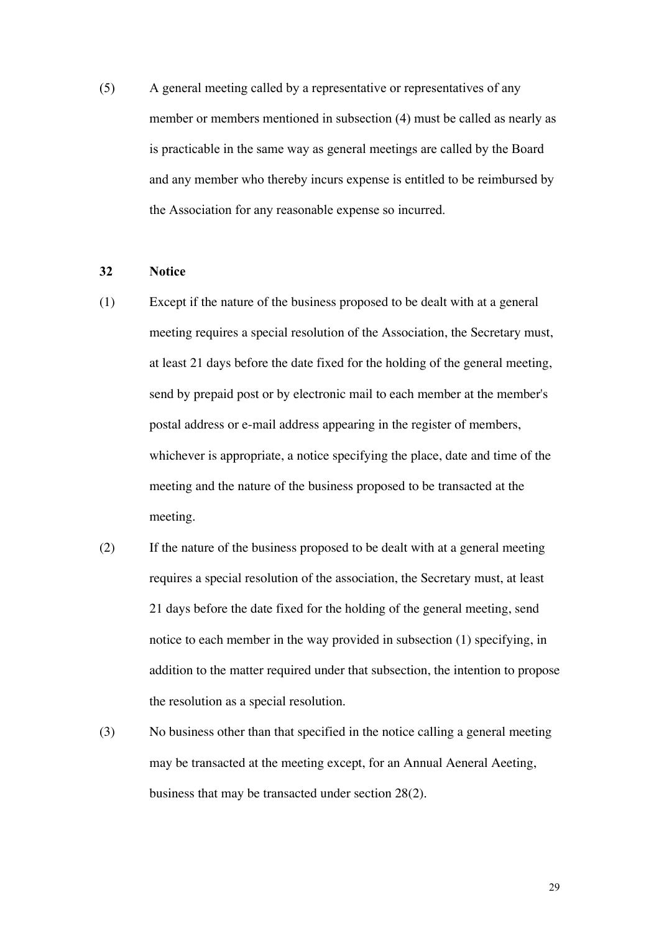(5) A general meeting called by a representative or representatives of any member or members mentioned in subsection (4) must be called as nearly as is practicable in the same way as general meetings are called by the Board and any member who thereby incurs expense is entitled to be reimbursed by the Association for any reasonable expense so incurred.

#### 32 Notice

- (1) Except if the nature of the business proposed to be dealt with at a general meeting requires a special resolution of the Association, the Secretary must, at least 21 days before the date fixed for the holding of the general meeting, send by prepaid post or by electronic mail to each member at the member's postal address or e-mail address appearing in the register of members, whichever is appropriate, a notice specifying the place, date and time of the meeting and the nature of the business proposed to be transacted at the meeting.
- (2) If the nature of the business proposed to be dealt with at a general meeting requires a special resolution of the association, the Secretary must, at least 21 days before the date fixed for the holding of the general meeting, send notice to each member in the way provided in subsection (1) specifying, in addition to the matter required under that subsection, the intention to propose the resolution as a special resolution.
- (3) No business other than that specified in the notice calling a general meeting may be transacted at the meeting except, for an Annual Aeneral Aeeting, business that may be transacted under section 28(2).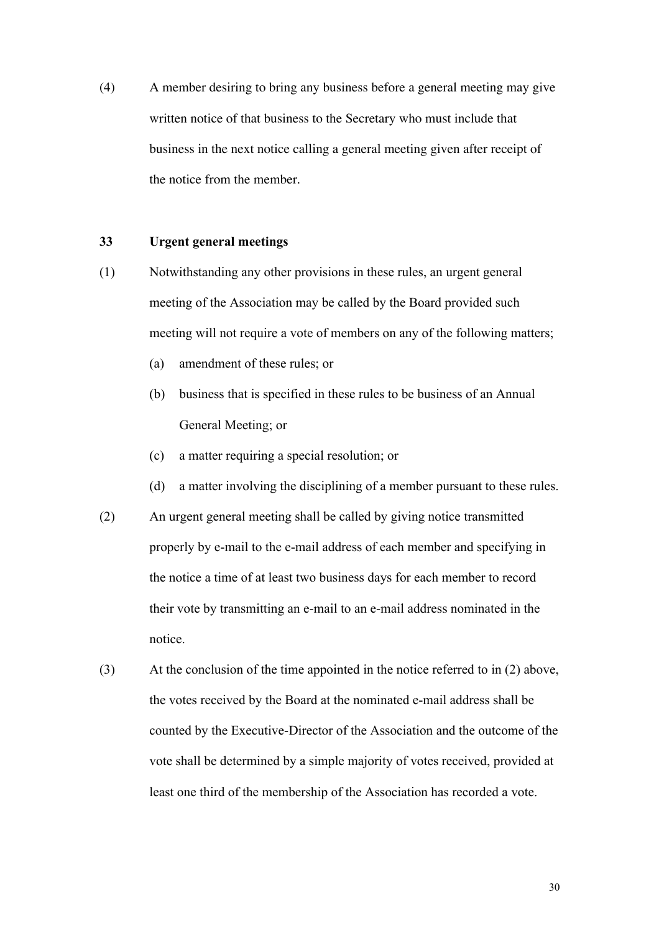(4) A member desiring to bring any business before a general meeting may give written notice of that business to the Secretary who must include that business in the next notice calling a general meeting given after receipt of the notice from the member.

#### 33 Urgent general meetings

- (1) Notwithstanding any other provisions in these rules, an urgent general meeting of the Association may be called by the Board provided such meeting will not require a vote of members on any of the following matters;
	- (a) amendment of these rules; or
	- (b) business that is specified in these rules to be business of an Annual General Meeting; or
	- (c) a matter requiring a special resolution; or
	- (d) a matter involving the disciplining of a member pursuant to these rules.
- (2) An urgent general meeting shall be called by giving notice transmitted properly by e-mail to the e-mail address of each member and specifying in the notice a time of at least two business days for each member to record their vote by transmitting an e-mail to an e-mail address nominated in the notice.
- (3) At the conclusion of the time appointed in the notice referred to in (2) above, the votes received by the Board at the nominated e-mail address shall be counted by the Executive-Director of the Association and the outcome of the vote shall be determined by a simple majority of votes received, provided at least one third of the membership of the Association has recorded a vote.

30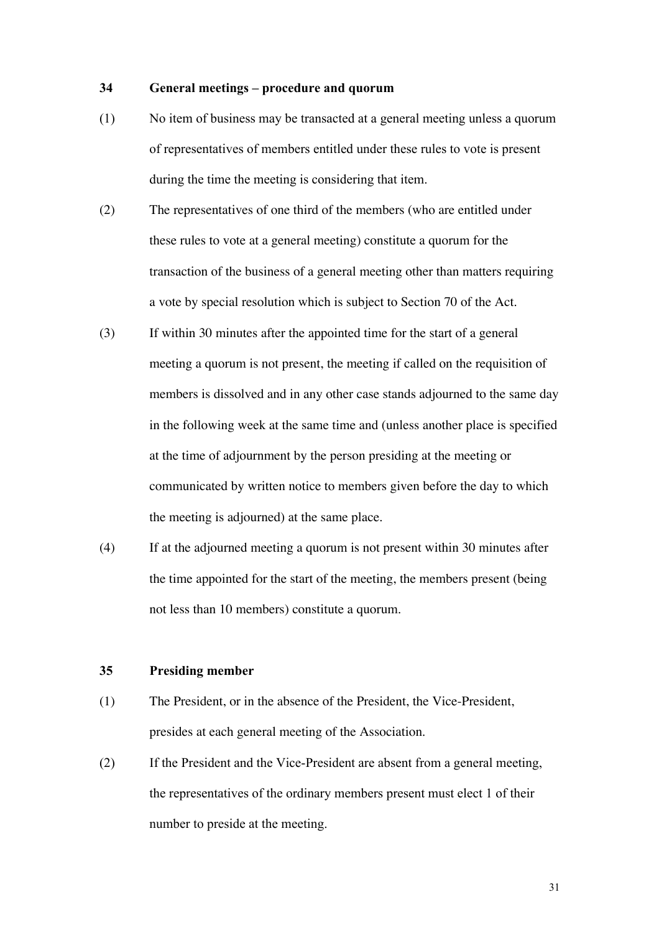#### 34 General meetings – procedure and quorum

- (1) No item of business may be transacted at a general meeting unless a quorum of representatives of members entitled under these rules to vote is present during the time the meeting is considering that item.
- (2) The representatives of one third of the members (who are entitled under these rules to vote at a general meeting) constitute a quorum for the transaction of the business of a general meeting other than matters requiring a vote by special resolution which is subject to Section 70 of the Act.
- (3) If within 30 minutes after the appointed time for the start of a general meeting a quorum is not present, the meeting if called on the requisition of members is dissolved and in any other case stands adjourned to the same day in the following week at the same time and (unless another place is specified at the time of adjournment by the person presiding at the meeting or communicated by written notice to members given before the day to which the meeting is adjourned) at the same place.
- (4) If at the adjourned meeting a quorum is not present within 30 minutes after the time appointed for the start of the meeting, the members present (being not less than 10 members) constitute a quorum.

#### 35 Presiding member

- (1) The President, or in the absence of the President, the Vice-President, presides at each general meeting of the Association.
- (2) If the President and the Vice-President are absent from a general meeting, the representatives of the ordinary members present must elect 1 of their number to preside at the meeting.

31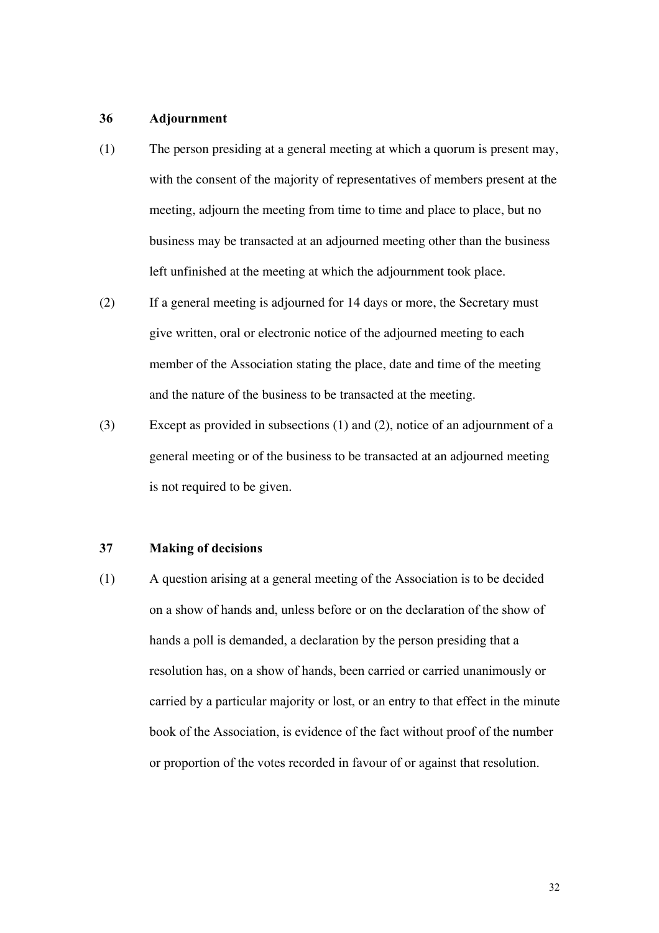#### 36 Adjournment

- (1) The person presiding at a general meeting at which a quorum is present may, with the consent of the majority of representatives of members present at the meeting, adjourn the meeting from time to time and place to place, but no business may be transacted at an adjourned meeting other than the business left unfinished at the meeting at which the adjournment took place.
- (2) If a general meeting is adjourned for 14 days or more, the Secretary must give written, oral or electronic notice of the adjourned meeting to each member of the Association stating the place, date and time of the meeting and the nature of the business to be transacted at the meeting.
- (3) Except as provided in subsections (1) and (2), notice of an adjournment of a general meeting or of the business to be transacted at an adjourned meeting is not required to be given.

#### 37 Making of decisions

(1) A question arising at a general meeting of the Association is to be decided on a show of hands and, unless before or on the declaration of the show of hands a poll is demanded, a declaration by the person presiding that a resolution has, on a show of hands, been carried or carried unanimously or carried by a particular majority or lost, or an entry to that effect in the minute book of the Association, is evidence of the fact without proof of the number or proportion of the votes recorded in favour of or against that resolution.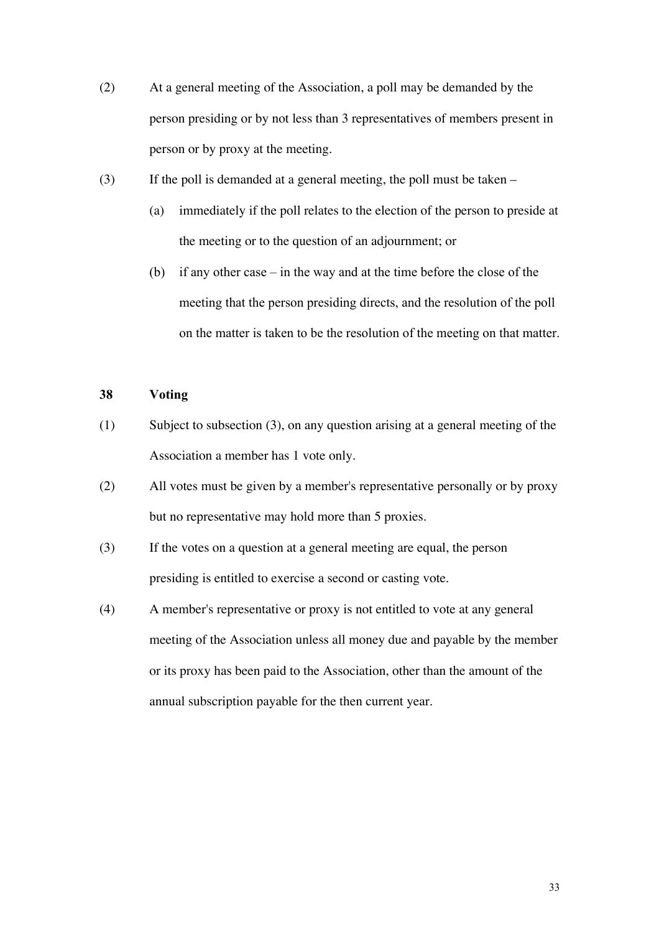- (2) At a general meeting of the Association, a poll may be demanded by the person presiding or by not less than 3 representatives of members present in person or by proxy at the meeting.
- (3) If the poll is demanded at a general meeting, the poll must be taken
	- (a) immediately if the poll relates to the election of the person to preside at the meeting or to the question of an adjournment; or
	- (b) if any other case in the way and at the time before the close of the meeting that the person presiding directs, and the resolution of the poll on the matter is taken to be the resolution of the meeting on that matter.

#### 38 Voting

- (1) Subject to subsection (3), on any question arising at a general meeting of the Association a member has 1 vote only.
- (2) All votes must be given by a member's representative personally or by proxy but no representative may hold more than 5 proxies.
- (3) If the votes on a question at a general meeting are equal, the person presiding is entitled to exercise a second or casting vote.
- (4) A member's representative or proxy is not entitled to vote at any general meeting of the Association unless all money due and payable by the member or its proxy has been paid to the Association, other than the amount of the annual subscription payable for the then current year.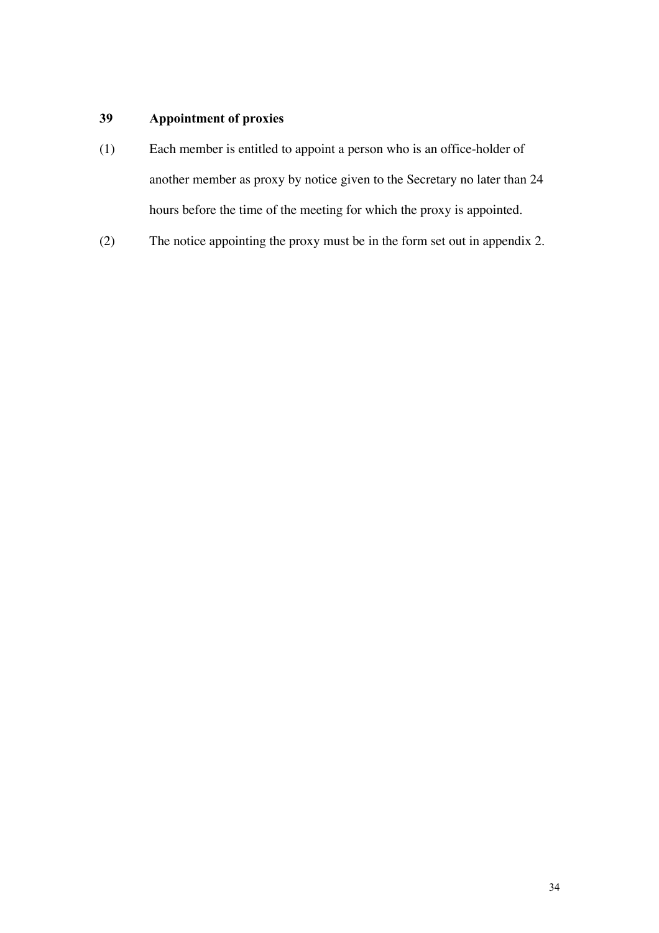## 39 Appointment of proxies

- (1) Each member is entitled to appoint a person who is an office-holder of another member as proxy by notice given to the Secretary no later than 24 hours before the time of the meeting for which the proxy is appointed.
- (2) The notice appointing the proxy must be in the form set out in appendix 2.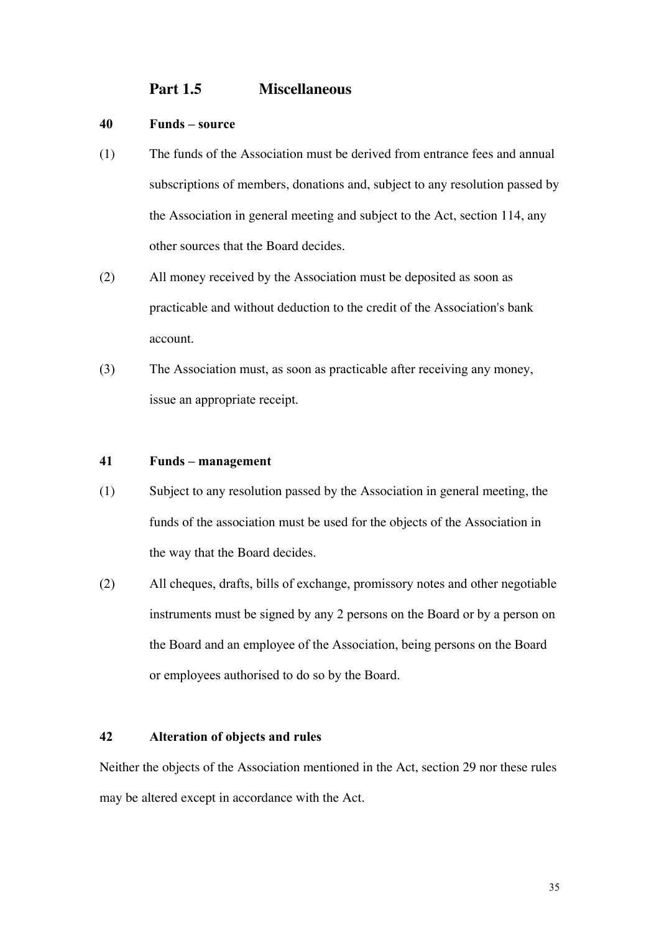## **Part 1.5 Miscellaneous**

#### 40 Funds – source

- (1) The funds of the Association must be derived from entrance fees and annual subscriptions of members, donations and, subject to any resolution passed by the Association in general meeting and subject to the Act, section 114, any other sources that the Board decides.
- (2) All money received by the Association must be deposited as soon as practicable and without deduction to the credit of the Association's bank account.
- (3) The Association must, as soon as practicable after receiving any money, issue an appropriate receipt.

#### 41 Funds – management

- (1) Subject to any resolution passed by the Association in general meeting, the funds of the association must be used for the objects of the Association in the way that the Board decides.
- (2) All cheques, drafts, bills of exchange, promissory notes and other negotiable instruments must be signed by any 2 persons on the Board or by a person on the Board and an employee of the Association, being persons on the Board or employees authorised to do so by the Board.

#### 42 Alteration of objects and rules

Neither the objects of the Association mentioned in the Act, section 29 nor these rules may be altered except in accordance with the Act.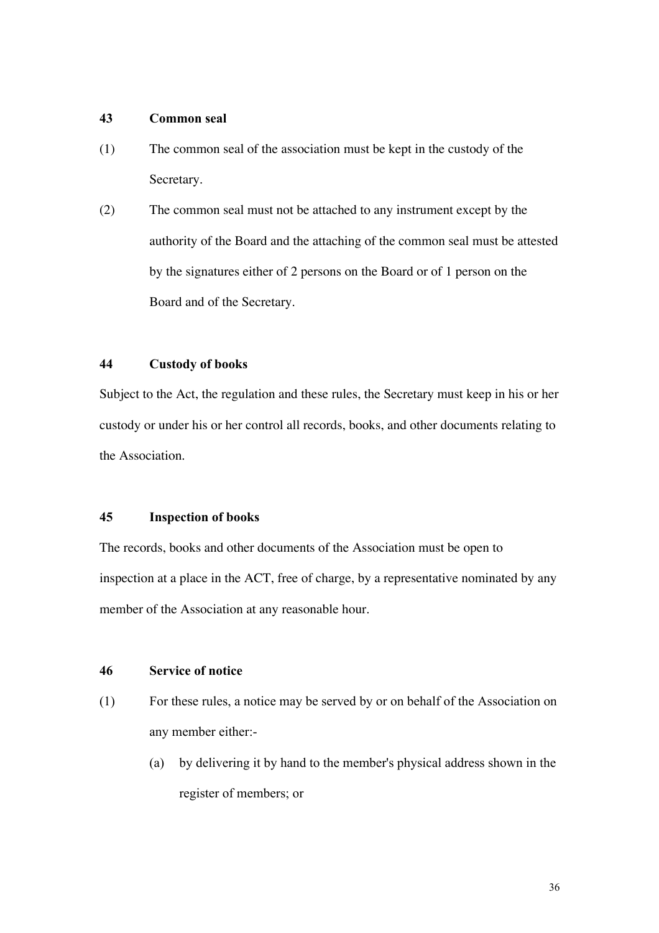#### 43 Common seal

- (1) The common seal of the association must be kept in the custody of the Secretary.
- (2) The common seal must not be attached to any instrument except by the authority of the Board and the attaching of the common seal must be attested by the signatures either of 2 persons on the Board or of 1 person on the Board and of the Secretary.

### 44 Custody of books

Subject to the Act, the regulation and these rules, the Secretary must keep in his or her custody or under his or her control all records, books, and other documents relating to the Association.

### 45 Inspection of books

The records, books and other documents of the Association must be open to inspection at a place in the ACT, free of charge, by a representative nominated by any member of the Association at any reasonable hour.

#### 46 Service of notice

- (1) For these rules, a notice may be served by or on behalf of the Association on any member either:-
	- (a) by delivering it by hand to the member's physical address shown in the register of members; or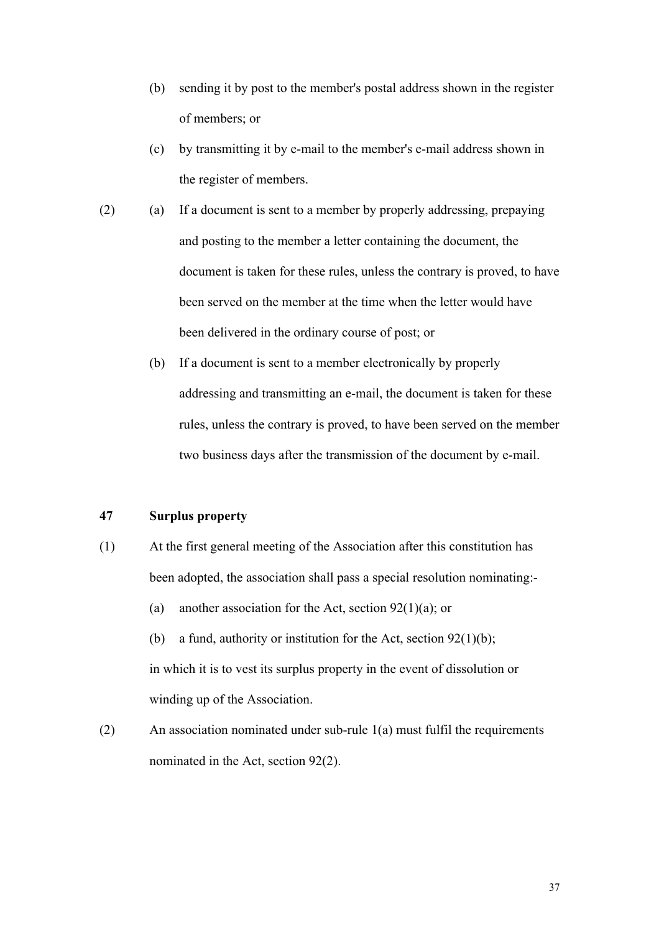- (b) sending it by post to the member's postal address shown in the register of members; or
- (c) by transmitting it by e-mail to the member's e-mail address shown in the register of members.
- (2) (a) If a document is sent to a member by properly addressing, prepaying and posting to the member a letter containing the document, the document is taken for these rules, unless the contrary is proved, to have been served on the member at the time when the letter would have been delivered in the ordinary course of post; or
	- (b) If a document is sent to a member electronically by properly addressing and transmitting an e-mail, the document is taken for these rules, unless the contrary is proved, to have been served on the member two business days after the transmission of the document by e-mail.

#### 47 Surplus property

- (1) At the first general meeting of the Association after this constitution has been adopted, the association shall pass a special resolution nominating:-
	- (a) another association for the Act, section  $92(1)(a)$ ; or

(b) a fund, authority or institution for the Act, section  $92(1)(b)$ ; in which it is to vest its surplus property in the event of dissolution or winding up of the Association.

(2) An association nominated under sub-rule 1(a) must fulfil the requirements nominated in the Act, section 92(2).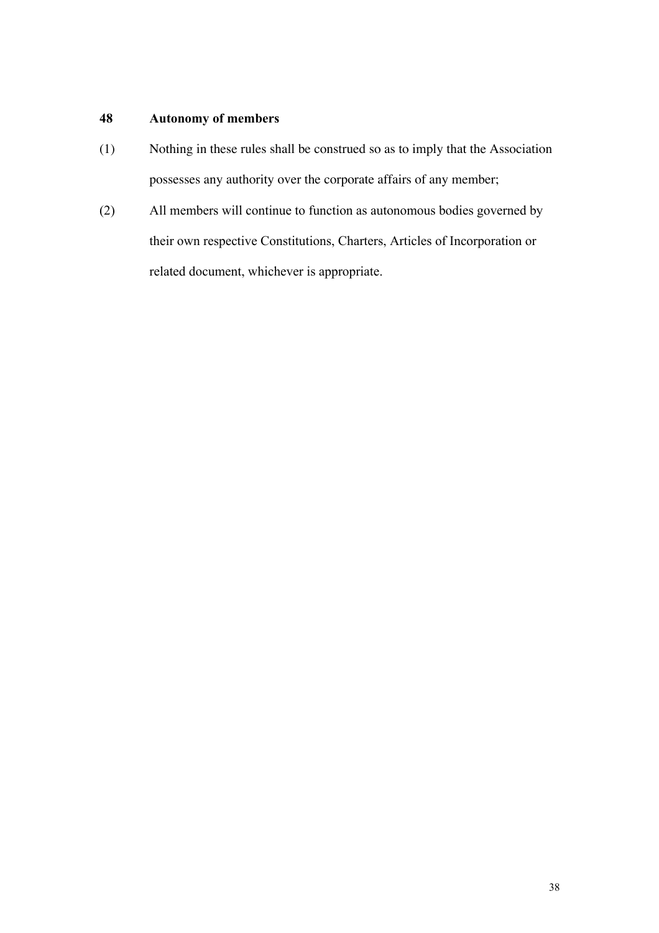## 48 Autonomy of members

- (1) Nothing in these rules shall be construed so as to imply that the Association possesses any authority over the corporate affairs of any member;
- (2) All members will continue to function as autonomous bodies governed by their own respective Constitutions, Charters, Articles of Incorporation or related document, whichever is appropriate.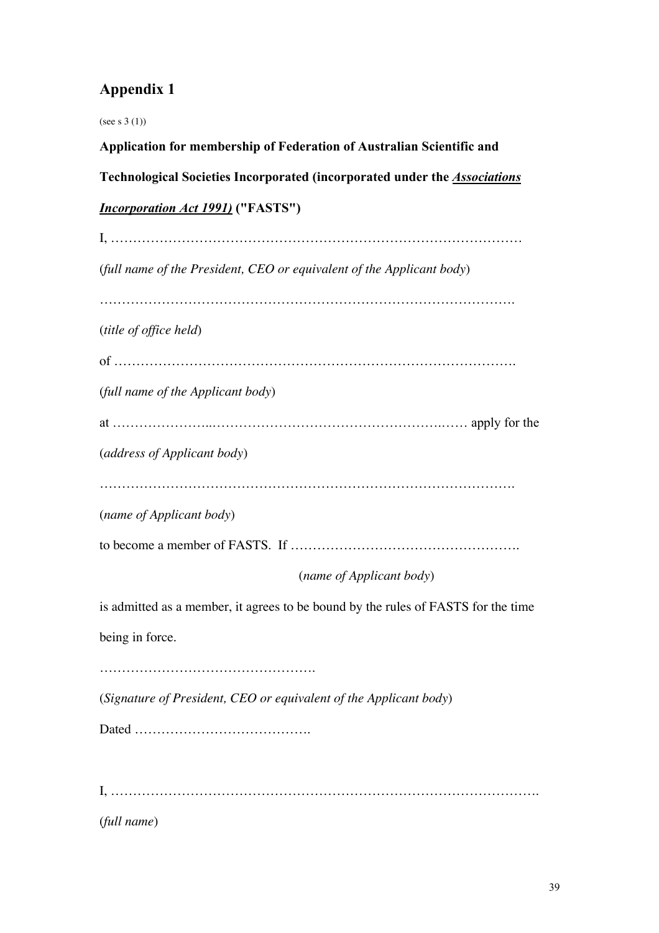# Appendix 1

(see s 3 (1)) Application for membership of Federation of Australian Scientific and Technological Societies Incorporated (incorporated under the *Associations Incorporation Act 1991)* ("FASTS") I, ………………………………………………………………………………… (*full name of the President, CEO or equivalent of the Applicant body*) …………………………………………………………………………………. (*title of office held*) of ………………………………………………………………………………. (*full name of the Applicant body*) at …………………..…………………………………………….…… apply for the (*address of Applicant body*) …………………………………………………………………………………. (*name of Applicant body*) to become a member of FASTS. If ……………………………………………. (*name of Applicant body*) is admitted as a member, it agrees to be bound by the rules of FASTS for the time being in force. …………………………………………. (*Signature of President, CEO or equivalent of the Applicant body*) Dated …………………………………. I, ……………………………………………………………………………………. (*full name*)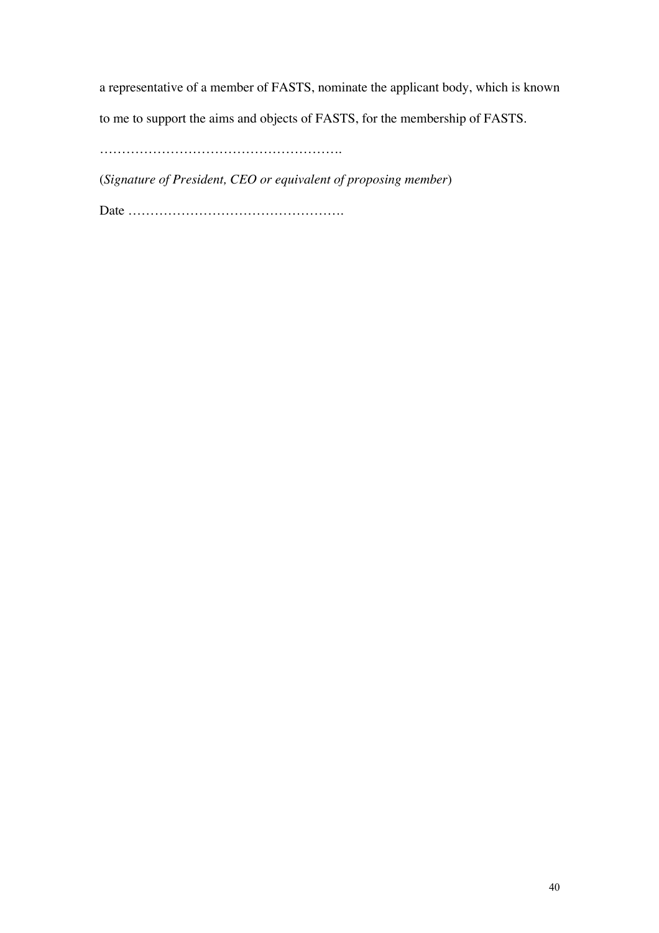a representative of a member of FASTS, nominate the applicant body, which is known

to me to support the aims and objects of FASTS, for the membership of FASTS.

……………………………………………….

(*Signature of President, CEO or equivalent of proposing member*)

Date ………………………………………….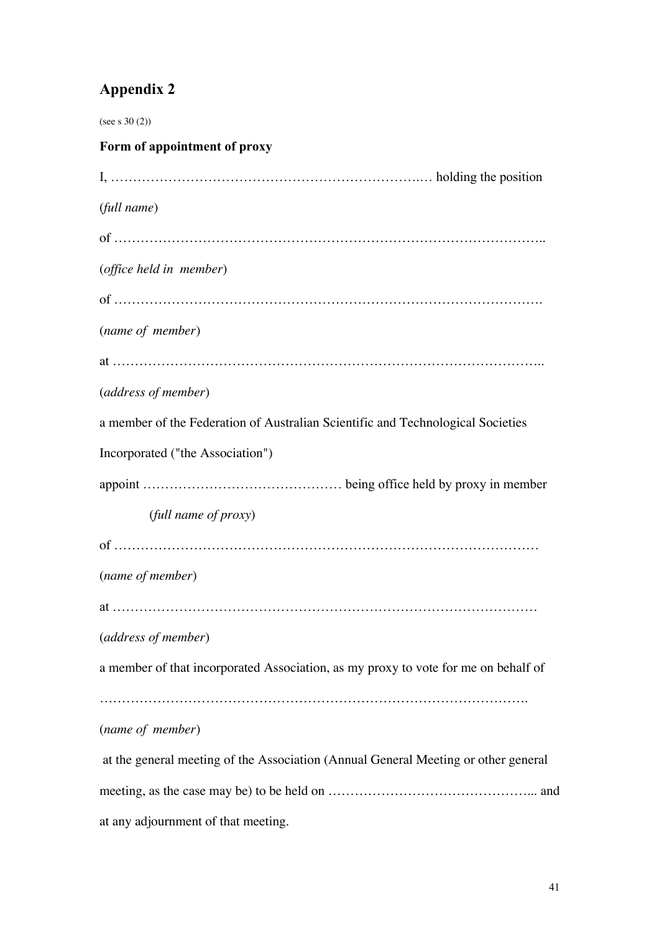# Appendix 2

(see s 30 (2))

| Form of appointment of proxy                                                       |
|------------------------------------------------------------------------------------|
|                                                                                    |
| (full name)                                                                        |
|                                                                                    |
| (office held in member)                                                            |
|                                                                                    |
| (name of member)                                                                   |
|                                                                                    |
| (address of member)                                                                |
| a member of the Federation of Australian Scientific and Technological Societies    |
| Incorporated ("the Association")                                                   |
|                                                                                    |
| (full name of proxy)                                                               |
|                                                                                    |
| (name of member)                                                                   |
|                                                                                    |
| (address of member)                                                                |
| a member of that incorporated Association, as my proxy to vote for me on behalf of |
|                                                                                    |
| (name of member)                                                                   |
| at the general meeting of the Association (Annual General Meeting or other general |
|                                                                                    |

at any adjournment of that meeting.